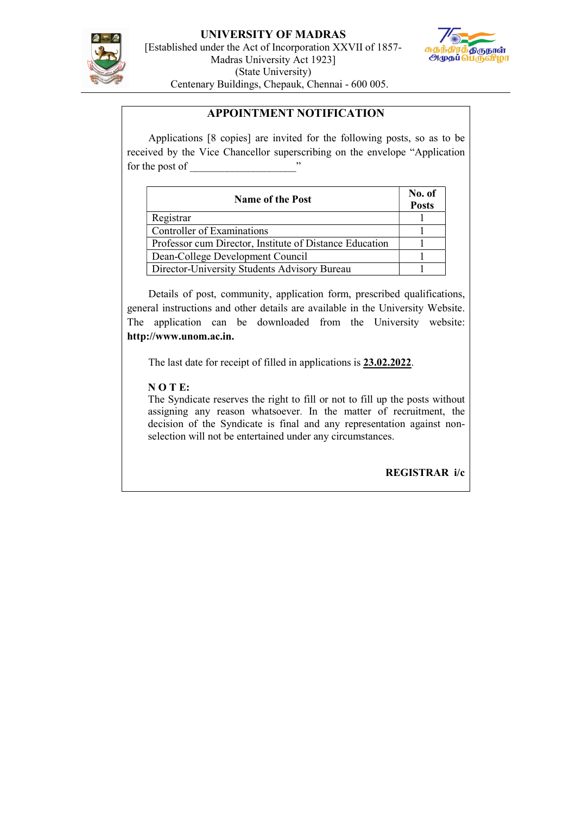

UNIVERSITY OF MADRAS [Established under the Act of Incorporation XXVII of 1857- Madras University Act 1923] (State University) Centenary Buildings, Chepauk, Chennai - 600 005.



### APPOINTMENT NOTIFICATION

 Applications [8 copies] are invited for the following posts, so as to be received by the Vice Chancellor superscribing on the envelope "Application for the post of

| <b>Name of the Post</b>                                 | No. of<br><b>Posts</b> |
|---------------------------------------------------------|------------------------|
| Registrar                                               |                        |
| Controller of Examinations                              |                        |
| Professor cum Director, Institute of Distance Education |                        |
| Dean-College Development Council                        |                        |
| Director-University Students Advisory Bureau            |                        |

 Details of post, community, application form, prescribed qualifications, general instructions and other details are available in the University Website. The application can be downloaded from the University website: http://www.unom.ac.in.

The last date for receipt of filled in applications is 23.02.2022.

### N O T E:

The Syndicate reserves the right to fill or not to fill up the posts without assigning any reason whatsoever. In the matter of recruitment, the decision of the Syndicate is final and any representation against nonselection will not be entertained under any circumstances.

REGISTRAR i/c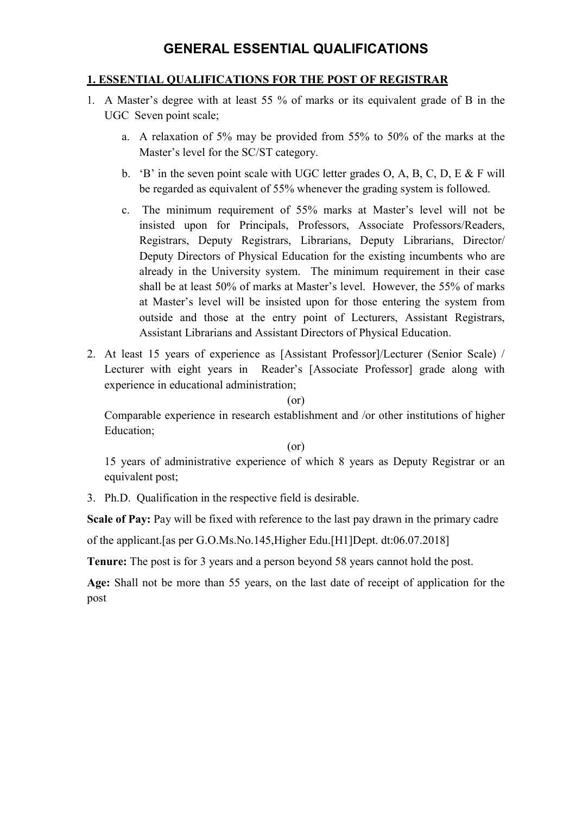# 1. ESSENTIAL QUALIFICATIONS FOR THE POST OF REGISTRAR

- 1. A Master's degree with at least 55 % of marks or its equivalent grade of B in the UGC Seven point scale;
	- a. A relaxation of 5% may be provided from 55% to 50% of the marks at the Master's level for the SC/ST category.
	- b. 'B' in the seven point scale with UGC letter grades O, A, B, C, D, E  $&$  F will be regarded as equivalent of 55% whenever the grading system is followed.
	- c. The minimum requirement of 55% marks at Master's level will not be insisted upon for Principals, Professors, Associate Professors/Readers, Registrars, Deputy Registrars, Librarians, Deputy Librarians, Director/ Deputy Directors of Physical Education for the existing incumbents who are already in the University system. The minimum requirement in their case shall be at least 50% of marks at Master's level. However, the 55% of marks at Master's level will be insisted upon for those entering the system from outside and those at the entry point of Lecturers, Assistant Registrars, Assistant Librarians and Assistant Directors of Physical Education.
- 2. At least 15 years of experience as [Assistant Professor]/Lecturer (Senior Scale) / Lecturer with eight years in Reader's [Associate Professor] grade along with experience in educational administration;

(or)

Comparable experience in research establishment and /or other institutions of higher Education;

(or)

15 years of administrative experience of which 8 years as Deputy Registrar or an equivalent post;

3. Ph.D. Qualification in the respective field is desirable.

Scale of Pay: Pay will be fixed with reference to the last pay drawn in the primary cadre

of the applicant.[as per G.O.Ms.No.145,Higher Edu.[H1]Dept. dt:06.07.2018]

Tenure: The post is for 3 years and a person beyond 58 years cannot hold the post.

Age: Shall not be more than 55 years, on the last date of receipt of application for the post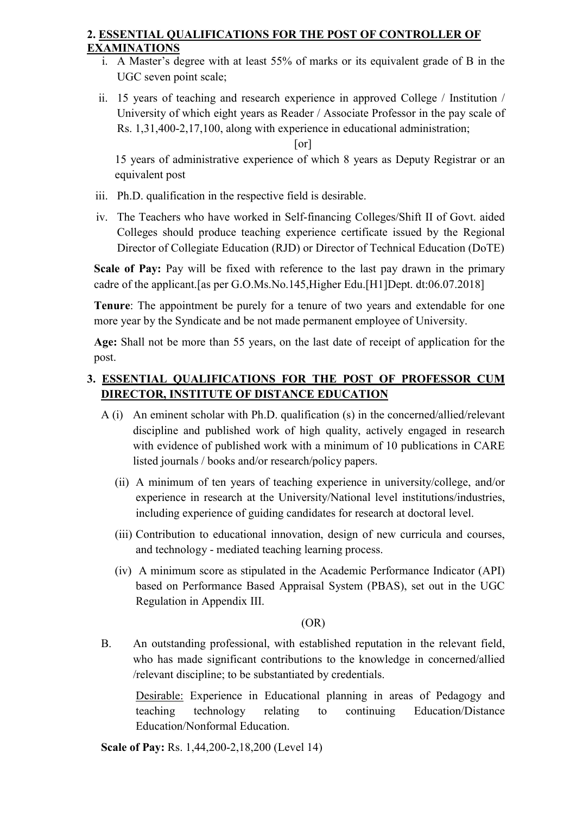# 2. ESSENTIAL QUALIFICATIONS FOR THE POST OF CONTROLLER OF EXAMINATIONS

- i. A Master's degree with at least 55% of marks or its equivalent grade of B in the UGC seven point scale;
- ii. 15 years of teaching and research experience in approved College / Institution / University of which eight years as Reader / Associate Professor in the pay scale of Rs. 1,31,400-2,17,100, along with experience in educational administration;

[or]

15 years of administrative experience of which 8 years as Deputy Registrar or an equivalent post

- iii. Ph.D. qualification in the respective field is desirable.
- iv. The Teachers who have worked in Self-financing Colleges/Shift II of Govt. aided Colleges should produce teaching experience certificate issued by the Regional Director of Collegiate Education (RJD) or Director of Technical Education (DoTE)

Scale of Pay: Pay will be fixed with reference to the last pay drawn in the primary cadre of the applicant.[as per G.O.Ms.No.145,Higher Edu.[H1]Dept. dt:06.07.2018]

Tenure: The appointment be purely for a tenure of two years and extendable for one more year by the Syndicate and be not made permanent employee of University.

Age: Shall not be more than 55 years, on the last date of receipt of application for the post.

# 3. ESSENTIAL QUALIFICATIONS FOR THE POST OF PROFESSOR CUM DIRECTOR, INSTITUTE OF DISTANCE EDUCATION

- A (i) An eminent scholar with Ph.D. qualification (s) in the concerned/allied/relevant discipline and published work of high quality, actively engaged in research with evidence of published work with a minimum of 10 publications in CARE listed journals / books and/or research/policy papers.
	- (ii) A minimum of ten years of teaching experience in university/college, and/or experience in research at the University/National level institutions/industries, including experience of guiding candidates for research at doctoral level.
	- (iii) Contribution to educational innovation, design of new curricula and courses, and technology - mediated teaching learning process.
	- (iv) A minimum score as stipulated in the Academic Performance Indicator (API) based on Performance Based Appraisal System (PBAS), set out in the UGC Regulation in Appendix III.

# (OR)

B. An outstanding professional, with established reputation in the relevant field, who has made significant contributions to the knowledge in concerned/allied /relevant discipline; to be substantiated by credentials.

Desirable: Experience in Educational planning in areas of Pedagogy and teaching technology relating to continuing Education/Distance Education/Nonformal Education.

Scale of Pay: Rs. 1,44,200-2,18,200 (Level 14)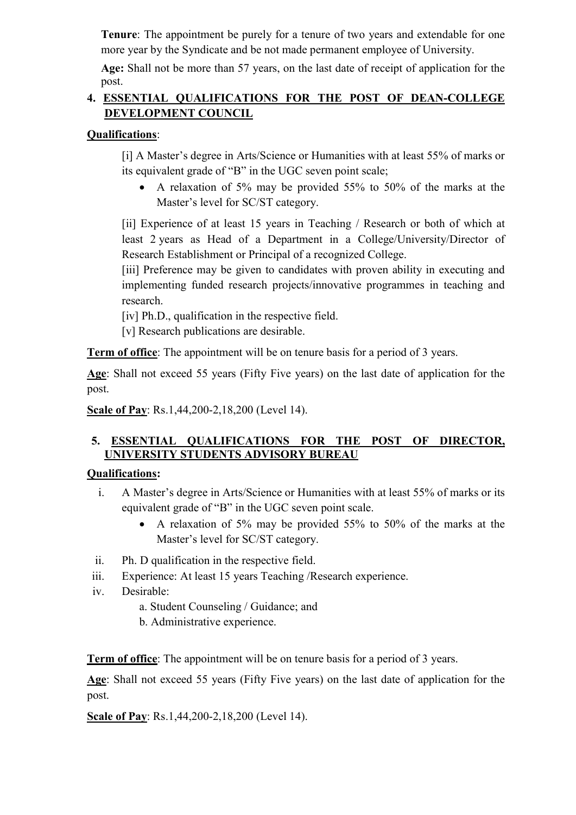Tenure: The appointment be purely for a tenure of two years and extendable for one more year by the Syndicate and be not made permanent employee of University.

Age: Shall not be more than 57 years, on the last date of receipt of application for the post.

# 4. ESSENTIAL QUALIFICATIONS FOR THE POST OF DEAN-COLLEGE DEVELOPMENT COUNCIL

# Qualifications:

[i] A Master's degree in Arts/Science or Humanities with at least 55% of marks or its equivalent grade of "B" in the UGC seven point scale;

 A relaxation of 5% may be provided 55% to 50% of the marks at the Master's level for SC/ST category.

[ii] Experience of at least 15 years in Teaching / Research or both of which at least 2 years as Head of a Department in a College/University/Director of Research Establishment or Principal of a recognized College.

[iii] Preference may be given to candidates with proven ability in executing and implementing funded research projects/innovative programmes in teaching and research.

[iv] Ph.D., qualification in the respective field.

[v] Research publications are desirable.

Term of office: The appointment will be on tenure basis for a period of 3 years.

Age: Shall not exceed 55 years (Fifty Five years) on the last date of application for the post.

Scale of Pay: Rs.1,44,200-2,18,200 (Level 14).

# 5. ESSENTIAL QUALIFICATIONS FOR THE POST OF DIRECTOR, UNIVERSITY STUDENTS ADVISORY BUREAU

# Qualifications:

- i. A Master's degree in Arts/Science or Humanities with at least 55% of marks or its equivalent grade of "B" in the UGC seven point scale.
	- A relaxation of 5% may be provided 55% to 50% of the marks at the Master's level for SC/ST category.
- ii. Ph. D qualification in the respective field.
- iii. Experience: At least 15 years Teaching /Research experience.
- iv. Desirable:

a. Student Counseling / Guidance; and

b. Administrative experience.

Term of office: The appointment will be on tenure basis for a period of 3 years.

Age: Shall not exceed 55 years (Fifty Five years) on the last date of application for the post.

Scale of Pay: Rs.1,44,200-2,18,200 (Level 14).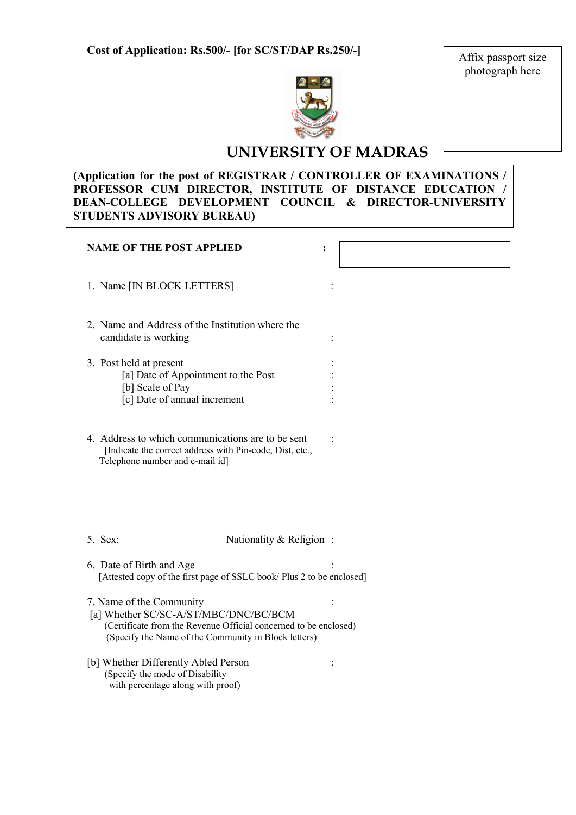Affix passport size photograph here



# UNIVERSITY OF MADRAS

# (Application for the post of REGISTRAR / CONTROLLER OF EXAMINATIONS / PROFESSOR CUM DIRECTOR, INSTITUTE OF DISTANCE EDUCATION / DEAN-COLLEGE DEVELOPMENT COUNCIL & DIRECTOR-UNIVERSITY STUDENTS ADVISORY BUREAU)

| <b>NAME OF THE POST APPLIED</b>                                                                                                                                                               |  |
|-----------------------------------------------------------------------------------------------------------------------------------------------------------------------------------------------|--|
| 1. Name [IN BLOCK LETTERS]                                                                                                                                                                    |  |
| 2. Name and Address of the Institution where the<br>candidate is working                                                                                                                      |  |
| 3. Post held at present<br>[a] Date of Appointment to the Post<br>[b] Scale of Pay<br>[c] Date of annual increment                                                                            |  |
| 4. Address to which communications are to be sent<br>[Indicate the correct address with Pin-code, Dist, etc.,<br>Telephone number and e-mail id]                                              |  |
| 5. Sex:<br>Nationality & Religion:                                                                                                                                                            |  |
| 6. Date of Birth and Age<br>[Attested copy of the first page of SSLC book/ Plus 2 to be enclosed]                                                                                             |  |
| 7. Name of the Community<br>[a] Whether SC/SC-A/ST/MBC/DNC/BC/BCM<br>(Certificate from the Revenue Official concerned to be enclosed)<br>(Specify the Name of the Community in Block letters) |  |
| [b] Whether Differently Abled Person<br>(Specify the mode of Disability<br>with percentage along with proof)                                                                                  |  |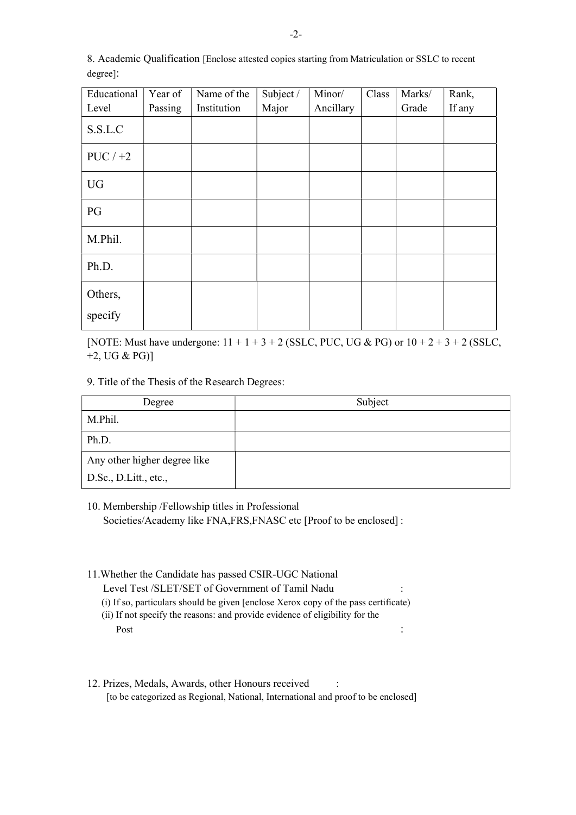| Educational | Year of | Name of the | Subject / | Minor/    | Class | Marks/ | Rank,  |
|-------------|---------|-------------|-----------|-----------|-------|--------|--------|
| Level       | Passing | Institution | Major     | Ancillary |       | Grade  | If any |
| S.S.L.C     |         |             |           |           |       |        |        |
| $PUC / +2$  |         |             |           |           |       |        |        |
| <b>UG</b>   |         |             |           |           |       |        |        |
| PG          |         |             |           |           |       |        |        |
| M.Phil.     |         |             |           |           |       |        |        |
| Ph.D.       |         |             |           |           |       |        |        |
| Others,     |         |             |           |           |       |        |        |
| specify     |         |             |           |           |       |        |        |

8. Academic Qualification [Enclose attested copies starting from Matriculation or SSLC to recent degree]:

[NOTE: Must have undergone:  $11 + 1 + 3 + 2$  (SSLC, PUC, UG & PG) or  $10 + 2 + 3 + 2$  (SSLC, +2, UG & PG)]

9. Title of the Thesis of the Research Degrees:

| Degree                       | Subject |
|------------------------------|---------|
| M.Phil.                      |         |
| Ph.D.                        |         |
| Any other higher degree like |         |
| D.Sc., D.Litt., etc.,        |         |

10. Membership /Fellowship titles in Professional Societies/Academy like FNA,FRS,FNASC etc [Proof to be enclosed] :

- 11.Whether the Candidate has passed CSIR-UGC National Level Test /SLET/SET of Government of Tamil Nadu : (i) If so, particulars should be given [enclose Xerox copy of the pass certificate) (ii) If not specify the reasons: and provide evidence of eligibility for the Post  $\cdot$  :
- 12. Prizes, Medals, Awards, other Honours received : [to be categorized as Regional, National, International and proof to be enclosed]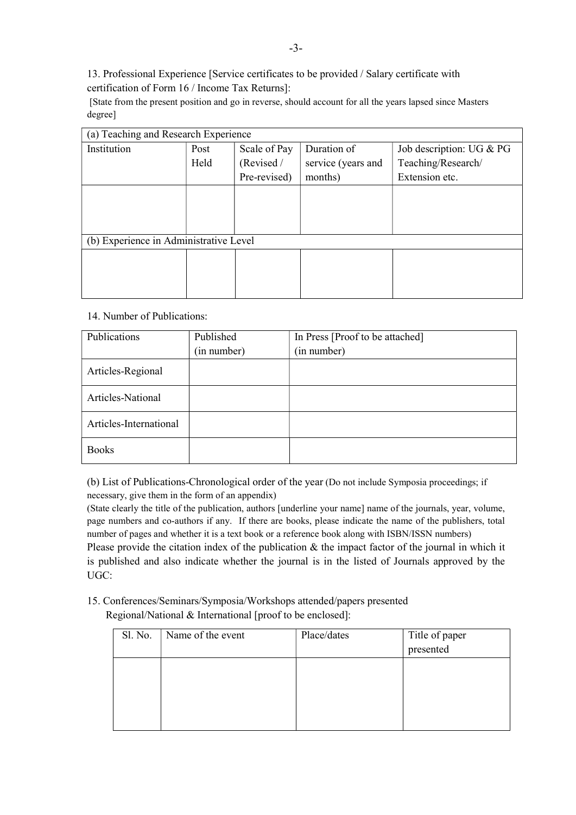13. Professional Experience [Service certificates to be provided / Salary certificate with certification of Form 16 / Income Tax Returns]:

 [State from the present position and go in reverse, should account for all the years lapsed since Masters degree]

| (a) Teaching and Research Experience |                                        |              |                    |                          |  |  |
|--------------------------------------|----------------------------------------|--------------|--------------------|--------------------------|--|--|
| Institution                          | Post                                   | Scale of Pay | Duration of        | Job description: UG & PG |  |  |
|                                      | Held                                   | (Revised /   | service (years and | Teaching/Research/       |  |  |
|                                      |                                        | Pre-revised) | months)            | Extension etc.           |  |  |
|                                      |                                        |              |                    |                          |  |  |
|                                      |                                        |              |                    |                          |  |  |
|                                      |                                        |              |                    |                          |  |  |
|                                      | (b) Experience in Administrative Level |              |                    |                          |  |  |
|                                      |                                        |              |                    |                          |  |  |
|                                      |                                        |              |                    |                          |  |  |
|                                      |                                        |              |                    |                          |  |  |

#### 14. Number of Publications:

| Publications           | Published   | In Press [Proof to be attached] |
|------------------------|-------------|---------------------------------|
|                        | (in number) | (in number)                     |
| Articles-Regional      |             |                                 |
| Articles-National      |             |                                 |
| Articles-International |             |                                 |
| <b>Books</b>           |             |                                 |

(b) List of Publications-Chronological order of the year (Do not include Symposia proceedings; if necessary, give them in the form of an appendix)

(State clearly the title of the publication, authors [underline your name] name of the journals, year, volume, page numbers and co-authors if any. If there are books, please indicate the name of the publishers, total number of pages and whether it is a text book or a reference book along with ISBN/ISSN numbers) Please provide the citation index of the publication & the impact factor of the journal in which it is published and also indicate whether the journal is in the listed of Journals approved by the UGC:

15. Conferences/Seminars/Symposia/Workshops attended/papers presented Regional/National & International [proof to be enclosed]:

| Sl. No. | Name of the event | Place/dates | Title of paper<br>presented |
|---------|-------------------|-------------|-----------------------------|
|         |                   |             |                             |
|         |                   |             |                             |
|         |                   |             |                             |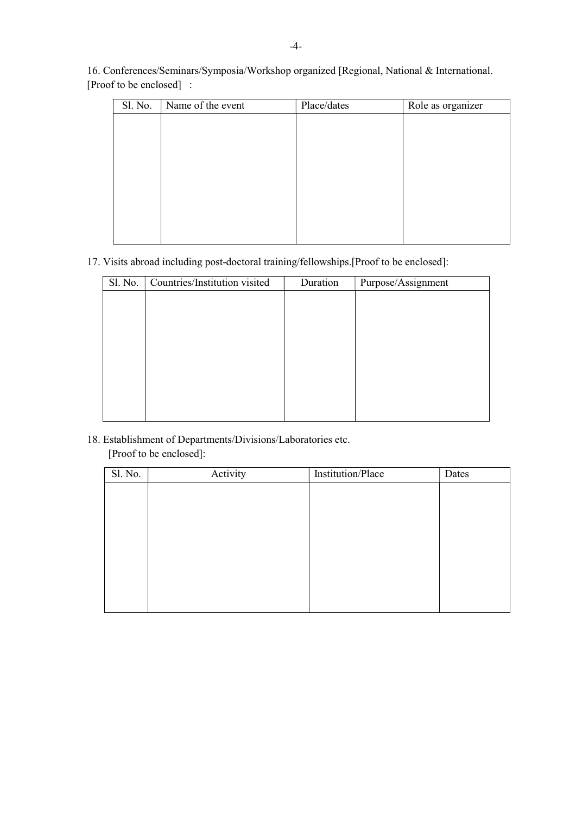16. Conferences/Seminars/Symposia/Workshop organized [Regional, National & International. [Proof to be enclosed] :

| Sl. No. | Name of the event | Place/dates | Role as organizer |
|---------|-------------------|-------------|-------------------|
|         |                   |             |                   |
|         |                   |             |                   |
|         |                   |             |                   |
|         |                   |             |                   |
|         |                   |             |                   |
|         |                   |             |                   |
|         |                   |             |                   |
|         |                   |             |                   |
|         |                   |             |                   |

### 17. Visits abroad including post-doctoral training/fellowships.[Proof to be enclosed]:

| Sl. No. | Countries/Institution visited | Duration | Purpose/Assignment |
|---------|-------------------------------|----------|--------------------|
|         |                               |          |                    |
|         |                               |          |                    |
|         |                               |          |                    |
|         |                               |          |                    |
|         |                               |          |                    |
|         |                               |          |                    |
|         |                               |          |                    |
|         |                               |          |                    |
|         |                               |          |                    |

# 18. Establishment of Departments/Divisions/Laboratories etc. [Proof to be enclosed]:

| Sl. No. | Activity | Institution/Place | Dates |
|---------|----------|-------------------|-------|
|         |          |                   |       |
|         |          |                   |       |
|         |          |                   |       |
|         |          |                   |       |
|         |          |                   |       |
|         |          |                   |       |
|         |          |                   |       |
|         |          |                   |       |
|         |          |                   |       |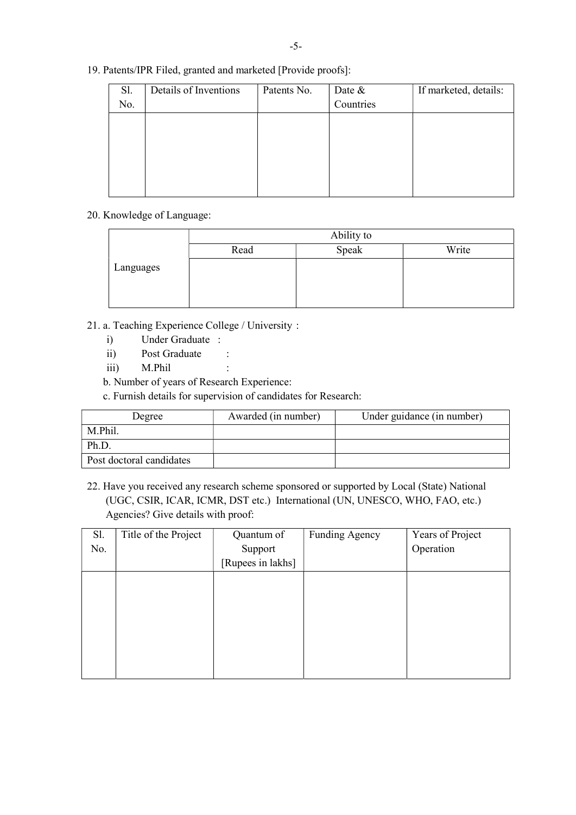| 19. Patents/IPR Filed, granted and marketed [Provide proofs]: |  |
|---------------------------------------------------------------|--|

| Sl. | Details of Inventions | Patents No. | Date &    | If marketed, details: |
|-----|-----------------------|-------------|-----------|-----------------------|
| No. |                       |             | Countries |                       |
|     |                       |             |           |                       |
|     |                       |             |           |                       |
|     |                       |             |           |                       |
|     |                       |             |           |                       |
|     |                       |             |           |                       |
|     |                       |             |           |                       |

### 20. Knowledge of Language:

|           | Ability to |       |       |  |  |  |  |  |  |
|-----------|------------|-------|-------|--|--|--|--|--|--|
|           | Read       | Speak | Write |  |  |  |  |  |  |
| Languages |            |       |       |  |  |  |  |  |  |
|           |            |       |       |  |  |  |  |  |  |

- 21. a. Teaching Experience College / University :
	- i) Under Graduate :
	- ii) Post Graduate :
	- iii) M.Phil :
	- b. Number of years of Research Experience:
	- c. Furnish details for supervision of candidates for Research:

| Degree                   | Awarded (in number) | Under guidance (in number) |
|--------------------------|---------------------|----------------------------|
| M.Phil.                  |                     |                            |
| Ph.D.                    |                     |                            |
| Post doctoral candidates |                     |                            |

22. Have you received any research scheme sponsored or supported by Local (State) National (UGC, CSIR, ICAR, ICMR, DST etc.) International (UN, UNESCO, WHO, FAO, etc.) Agencies? Give details with proof:

| Sl. | Title of the Project | Quantum of        | Funding Agency | Years of Project |
|-----|----------------------|-------------------|----------------|------------------|
| No. |                      | Support           |                | Operation        |
|     |                      | [Rupees in lakhs] |                |                  |
|     |                      |                   |                |                  |
|     |                      |                   |                |                  |
|     |                      |                   |                |                  |
|     |                      |                   |                |                  |
|     |                      |                   |                |                  |
|     |                      |                   |                |                  |
|     |                      |                   |                |                  |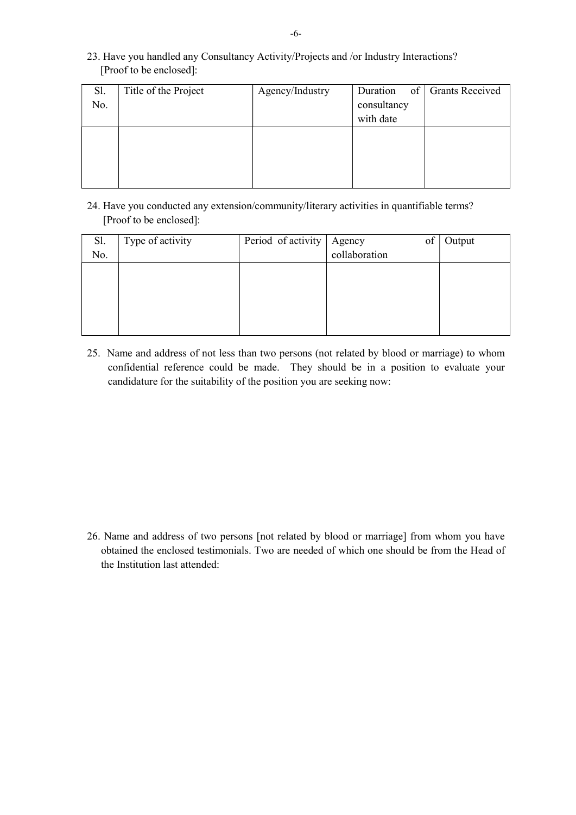| Sl. | Title of the Project | Agency/Industry | Duration    | of   Grants Received |
|-----|----------------------|-----------------|-------------|----------------------|
| No. |                      |                 | consultancy |                      |
|     |                      |                 | with date   |                      |
|     |                      |                 |             |                      |
|     |                      |                 |             |                      |
|     |                      |                 |             |                      |
|     |                      |                 |             |                      |

23. Have you handled any Consultancy Activity/Projects and /or Industry Interactions? [Proof to be enclosed]:

24. Have you conducted any extension/community/literary activities in quantifiable terms? [Proof to be enclosed]:

| Sl. | Type of activity | Period of activity | of<br>Agency  | Output |
|-----|------------------|--------------------|---------------|--------|
| No. |                  |                    | collaboration |        |
|     |                  |                    |               |        |
|     |                  |                    |               |        |
|     |                  |                    |               |        |
|     |                  |                    |               |        |
|     |                  |                    |               |        |
|     |                  |                    |               |        |

25. Name and address of not less than two persons (not related by blood or marriage) to whom confidential reference could be made. They should be in a position to evaluate your candidature for the suitability of the position you are seeking now:

26. Name and address of two persons [not related by blood or marriage] from whom you have obtained the enclosed testimonials. Two are needed of which one should be from the Head of the Institution last attended: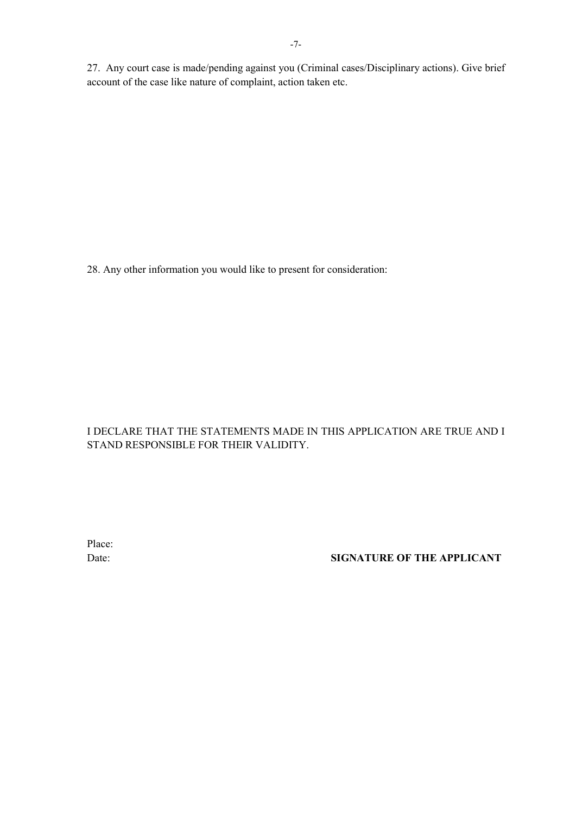27. Any court case is made/pending against you (Criminal cases/Disciplinary actions). Give brief account of the case like nature of complaint, action taken etc.

28. Any other information you would like to present for consideration:

# I DECLARE THAT THE STATEMENTS MADE IN THIS APPLICATION ARE TRUE AND I STAND RESPONSIBLE FOR THEIR VALIDITY.

Place:

# Date: SIGNATURE OF THE APPLICANT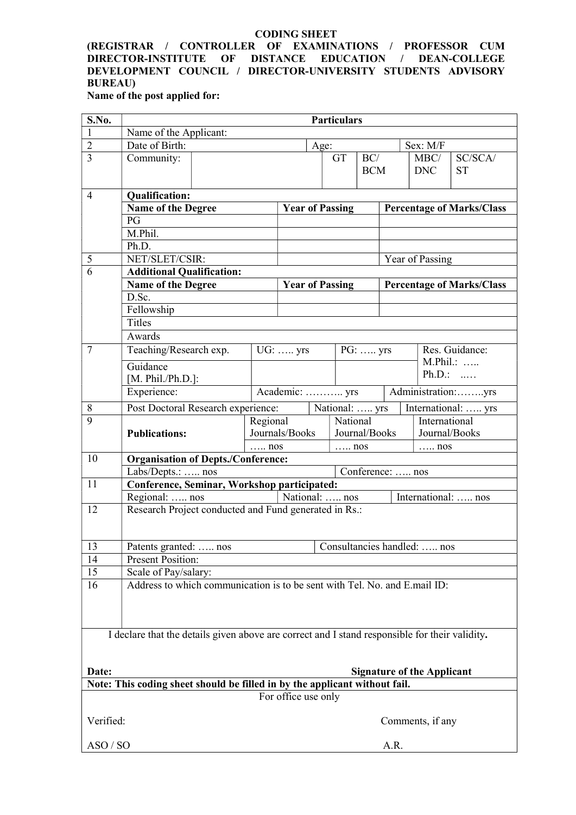#### CODING SHEET

#### (REGISTRAR / CONTROLLER OF EXAMINATIONS / PROFESSOR CUM DIRECTOR-INSTITUTE OF DISTANCE EDUCATION / DEAN-COLLEGE DEVELOPMENT COUNCIL / DIRECTOR-UNIVERSITY STUDENTS ADVISORY BUREAU)

Name of the post applied for:

| S.No.          | <b>Particulars</b>                                                                             |  |                              |                                 |                |               |                   |                    |                                   |                                  |
|----------------|------------------------------------------------------------------------------------------------|--|------------------------------|---------------------------------|----------------|---------------|-------------------|--------------------|-----------------------------------|----------------------------------|
| 1              | Name of the Applicant:                                                                         |  |                              |                                 |                |               |                   |                    |                                   |                                  |
| $\overline{2}$ | Date of Birth:                                                                                 |  |                              |                                 | Age:           |               |                   |                    | Sex: M/F                          |                                  |
| $\overline{3}$ | Community:                                                                                     |  |                              |                                 | GT             |               | BC/<br><b>BCM</b> |                    | MBC/<br><b>DNC</b>                | SC/SCA/<br><b>ST</b>             |
| $\overline{4}$ | <b>Qualification:</b>                                                                          |  |                              |                                 |                |               |                   |                    |                                   |                                  |
|                | <b>Name of the Degree</b>                                                                      |  |                              | <b>Year of Passing</b>          |                |               |                   |                    |                                   | <b>Percentage of Marks/Class</b> |
|                | PG                                                                                             |  |                              |                                 |                |               |                   |                    |                                   |                                  |
|                | M.Phil.                                                                                        |  |                              |                                 |                |               |                   |                    |                                   |                                  |
|                | Ph.D.                                                                                          |  |                              |                                 |                |               |                   |                    |                                   |                                  |
| 5              | NET/SLET/CSIR:                                                                                 |  |                              |                                 |                |               |                   |                    | Year of Passing                   |                                  |
| $\overline{6}$ | <b>Additional Qualification:</b>                                                               |  |                              |                                 |                |               |                   |                    |                                   |                                  |
|                | Name of the Degree                                                                             |  |                              | <b>Year of Passing</b>          |                |               |                   |                    |                                   | <b>Percentage of Marks/Class</b> |
|                | D.Sc.                                                                                          |  |                              |                                 |                |               |                   |                    |                                   |                                  |
|                | Fellowship                                                                                     |  |                              |                                 |                |               |                   |                    |                                   |                                  |
|                | <b>Titles</b>                                                                                  |  |                              |                                 |                |               |                   |                    |                                   |                                  |
|                | Awards                                                                                         |  |                              |                                 |                |               |                   |                    |                                   |                                  |
| $\tau$         | Teaching/Research exp.                                                                         |  |                              | UG:  yrs                        |                |               | PG:  yrs          |                    |                                   | Res. Guidance:                   |
|                | Guidance                                                                                       |  |                              |                                 |                |               |                   |                    |                                   | M.Phil.:                         |
|                | [ $M. Phil./Ph.D.$ ]:                                                                          |  |                              |                                 |                |               |                   |                    | $Ph.D.:$                          |                                  |
|                | Experience:                                                                                    |  |                              | Academic:  yrs                  |                |               |                   | Administration:yrs |                                   |                                  |
| $\,8\,$        | Post Doctoral Research experience:                                                             |  |                              |                                 | National:  yrs |               |                   |                    |                                   | International:  yrs              |
| $\overline{9}$ |                                                                                                |  | Regional                     | National                        |                |               |                   | International      |                                   |                                  |
|                | <b>Publications:</b>                                                                           |  |                              | Journals/Books<br>Journal/Books |                | Journal/Books |                   |                    |                                   |                                  |
|                |                                                                                                |  | $\ldots$ nos<br>$\ldots$ nos |                                 |                | $\ldots$ nos  |                   |                    |                                   |                                  |
| 10             | <b>Organisation of Depts./Conference:</b>                                                      |  |                              |                                 |                |               |                   |                    |                                   |                                  |
|                | Labs/Depts.:  nos                                                                              |  |                              |                                 |                |               |                   | Conference:  nos   |                                   |                                  |
| 11             | Conference, Seminar, Workshop participated:                                                    |  |                              |                                 |                |               |                   |                    |                                   |                                  |
|                | Regional:  nos                                                                                 |  |                              | National:  nos                  |                |               |                   |                    | International:  nos               |                                  |
| 12             | Research Project conducted and Fund generated in Rs.:                                          |  |                              |                                 |                |               |                   |                    |                                   |                                  |
| 13             | Patents granted:  nos                                                                          |  |                              |                                 |                |               |                   |                    | Consultancies handled:  nos       |                                  |
| 14             | Present Position:                                                                              |  |                              |                                 |                |               |                   |                    |                                   |                                  |
| 15             | Scale of Pay/salary:                                                                           |  |                              |                                 |                |               |                   |                    |                                   |                                  |
| 16             |                                                                                                |  |                              |                                 |                |               |                   |                    |                                   |                                  |
|                | Address to which communication is to be sent with Tel. No. and E.mail ID:                      |  |                              |                                 |                |               |                   |                    |                                   |                                  |
|                | I declare that the details given above are correct and I stand responsible for their validity. |  |                              |                                 |                |               |                   |                    |                                   |                                  |
| Date:          |                                                                                                |  |                              |                                 |                |               |                   |                    | <b>Signature of the Applicant</b> |                                  |
|                | Note: This coding sheet should be filled in by the applicant without fail.                     |  |                              | For office use only             |                |               |                   |                    |                                   |                                  |
| Verified:      |                                                                                                |  |                              |                                 |                |               |                   |                    | Comments, if any                  |                                  |
| ASO / SO       | A.R.                                                                                           |  |                              |                                 |                |               |                   |                    |                                   |                                  |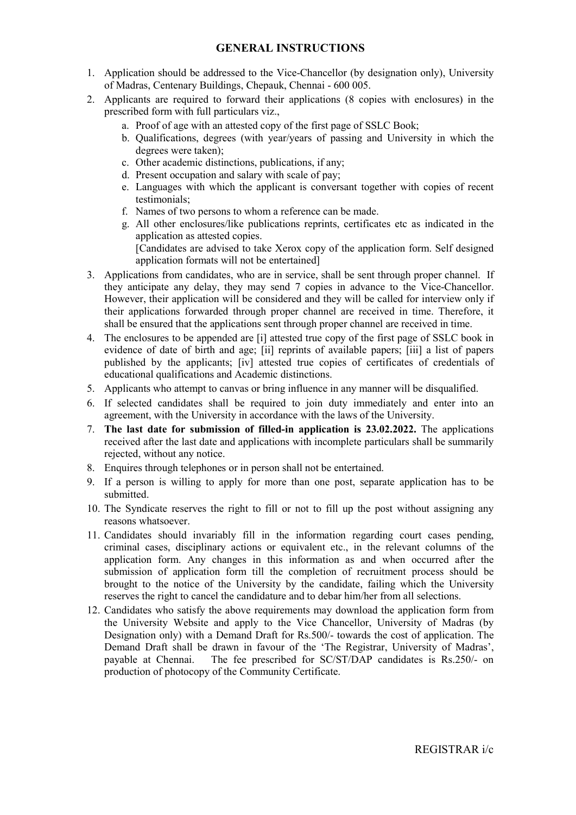- 1. Application should be addressed to the Vice-Chancellor (by designation only), University of Madras, Centenary Buildings, Chepauk, Chennai - 600 005.
- 2. Applicants are required to forward their applications (8 copies with enclosures) in the prescribed form with full particulars viz.,
	- a. Proof of age with an attested copy of the first page of SSLC Book;
	- b. Qualifications, degrees (with year/years of passing and University in which the degrees were taken);
	- c. Other academic distinctions, publications, if any;
	- d. Present occupation and salary with scale of pay;
	- e. Languages with which the applicant is conversant together with copies of recent testimonials;
	- f. Names of two persons to whom a reference can be made.
	- g. All other enclosures/like publications reprints, certificates etc as indicated in the application as attested copies. [Candidates are advised to take Xerox copy of the application form. Self designed application formats will not be entertained]
- 3. Applications from candidates, who are in service, shall be sent through proper channel. If they anticipate any delay, they may send 7 copies in advance to the Vice-Chancellor. However, their application will be considered and they will be called for interview only if their applications forwarded through proper channel are received in time. Therefore, it shall be ensured that the applications sent through proper channel are received in time.
- 4. The enclosures to be appended are [i] attested true copy of the first page of SSLC book in evidence of date of birth and age; [ii] reprints of available papers; [iii] a list of papers published by the applicants; [iv] attested true copies of certificates of credentials of educational qualifications and Academic distinctions.
- 5. Applicants who attempt to canvas or bring influence in any manner will be disqualified.
- 6. If selected candidates shall be required to join duty immediately and enter into an agreement, with the University in accordance with the laws of the University.
- 7. The last date for submission of filled-in application is 23.02.2022. The applications received after the last date and applications with incomplete particulars shall be summarily rejected, without any notice.
- 8. Enquires through telephones or in person shall not be entertained.
- 9. If a person is willing to apply for more than one post, separate application has to be submitted.
- 10. The Syndicate reserves the right to fill or not to fill up the post without assigning any reasons whatsoever.
- 11. Candidates should invariably fill in the information regarding court cases pending, criminal cases, disciplinary actions or equivalent etc., in the relevant columns of the application form. Any changes in this information as and when occurred after the submission of application form till the completion of recruitment process should be brought to the notice of the University by the candidate, failing which the University reserves the right to cancel the candidature and to debar him/her from all selections.
- 12. Candidates who satisfy the above requirements may download the application form from the University Website and apply to the Vice Chancellor, University of Madras (by Designation only) with a Demand Draft for Rs.500/- towards the cost of application. The Demand Draft shall be drawn in favour of the 'The Registrar, University of Madras', payable at Chennai. The fee prescribed for SC/ST/DAP candidates is Rs.250/- on production of photocopy of the Community Certificate.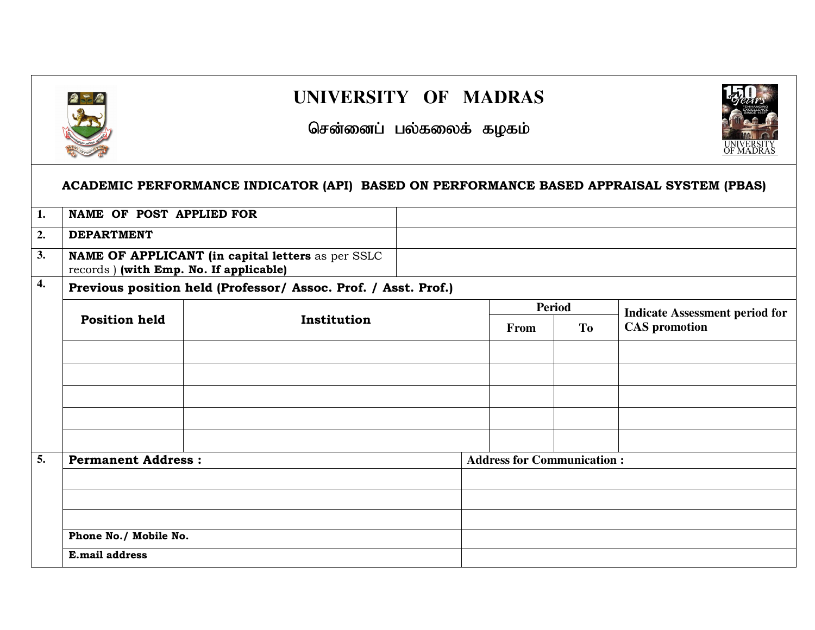

**4.** 

**5.** 

# **UNIVERSITY OF MADRAS**

# சென்னைப் பல்கலைக் கழகம்

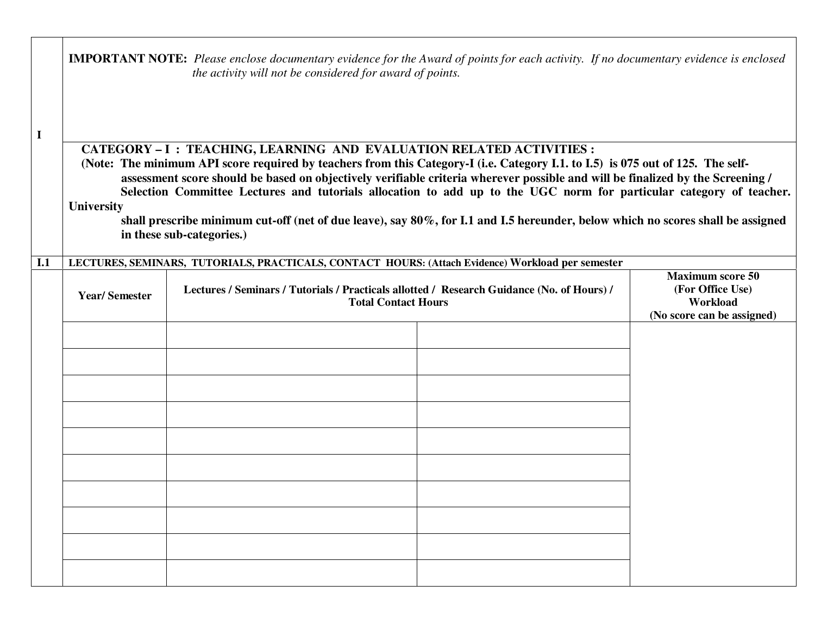| $\mathbf I$ |                                                                                                                                                                                                                                                                                                                                                                                                                                                                                                                                                                                                                                                 | <b>IMPORTANT NOTE:</b> Please enclose documentary evidence for the Award of points for each activity. If no documentary evidence is enclosed<br>the activity will not be considered for award of points. |  |                                             |  |  |  |  |  |
|-------------|-------------------------------------------------------------------------------------------------------------------------------------------------------------------------------------------------------------------------------------------------------------------------------------------------------------------------------------------------------------------------------------------------------------------------------------------------------------------------------------------------------------------------------------------------------------------------------------------------------------------------------------------------|----------------------------------------------------------------------------------------------------------------------------------------------------------------------------------------------------------|--|---------------------------------------------|--|--|--|--|--|
|             | CATEGORY - I : TEACHING, LEARNING AND EVALUATION RELATED ACTIVITIES :<br>(Note: The minimum API score required by teachers from this Category-I (i.e. Category I.1. to I.5) is 075 out of 125. The self-<br>assessment score should be based on objectively verifiable criteria wherever possible and will be finalized by the Screening /<br>Selection Committee Lectures and tutorials allocation to add up to the UGC norm for particular category of teacher.<br>University<br>shall prescribe minimum cut-off (net of due leave), say 80%, for I.1 and I.5 hereunder, below which no scores shall be assigned<br>in these sub-categories.) |                                                                                                                                                                                                          |  |                                             |  |  |  |  |  |
| I.1         |                                                                                                                                                                                                                                                                                                                                                                                                                                                                                                                                                                                                                                                 | LECTURES, SEMINARS, TUTORIALS, PRACTICALS, CONTACT HOURS: (Attach Evidence) Workload per semester<br>Lectures / Seminars / Tutorials / Practicals allotted / Research Guidance (No. of Hours) /          |  | <b>Maximum score 50</b><br>(For Office Use) |  |  |  |  |  |
|             | <b>Year/Semester</b>                                                                                                                                                                                                                                                                                                                                                                                                                                                                                                                                                                                                                            | <b>Total Contact Hours</b>                                                                                                                                                                               |  | Workload<br>(No score can be assigned)      |  |  |  |  |  |
|             |                                                                                                                                                                                                                                                                                                                                                                                                                                                                                                                                                                                                                                                 |                                                                                                                                                                                                          |  |                                             |  |  |  |  |  |
|             |                                                                                                                                                                                                                                                                                                                                                                                                                                                                                                                                                                                                                                                 |                                                                                                                                                                                                          |  |                                             |  |  |  |  |  |
|             |                                                                                                                                                                                                                                                                                                                                                                                                                                                                                                                                                                                                                                                 |                                                                                                                                                                                                          |  |                                             |  |  |  |  |  |
|             |                                                                                                                                                                                                                                                                                                                                                                                                                                                                                                                                                                                                                                                 |                                                                                                                                                                                                          |  |                                             |  |  |  |  |  |
|             |                                                                                                                                                                                                                                                                                                                                                                                                                                                                                                                                                                                                                                                 |                                                                                                                                                                                                          |  |                                             |  |  |  |  |  |
|             |                                                                                                                                                                                                                                                                                                                                                                                                                                                                                                                                                                                                                                                 |                                                                                                                                                                                                          |  |                                             |  |  |  |  |  |
|             |                                                                                                                                                                                                                                                                                                                                                                                                                                                                                                                                                                                                                                                 |                                                                                                                                                                                                          |  |                                             |  |  |  |  |  |
|             |                                                                                                                                                                                                                                                                                                                                                                                                                                                                                                                                                                                                                                                 |                                                                                                                                                                                                          |  |                                             |  |  |  |  |  |
|             |                                                                                                                                                                                                                                                                                                                                                                                                                                                                                                                                                                                                                                                 |                                                                                                                                                                                                          |  |                                             |  |  |  |  |  |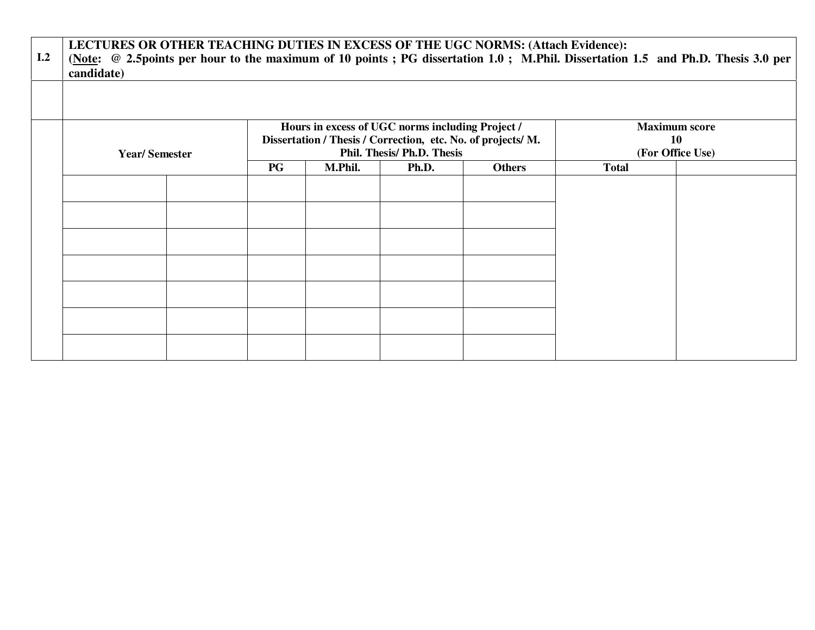| I.2 | LECTURES OR OTHER TEACHING DUTIES IN EXCESS OF THE UGC NORMS: (Attach Evidence):<br>candidate) |  |     |         |                                                                                                                                                |                                                       |              | (Note: @ 2.5points per hour to the maximum of 10 points; PG dissertation 1.0; M.Phil. Dissertation 1.5 and Ph.D. Thesis 3.0 per |
|-----|------------------------------------------------------------------------------------------------|--|-----|---------|------------------------------------------------------------------------------------------------------------------------------------------------|-------------------------------------------------------|--------------|---------------------------------------------------------------------------------------------------------------------------------|
|     |                                                                                                |  |     |         |                                                                                                                                                |                                                       |              |                                                                                                                                 |
|     | <b>Year/Semester</b>                                                                           |  |     |         | Hours in excess of UGC norms including Project /<br>Dissertation / Thesis / Correction, etc. No. of projects/ M.<br>Phil. Thesis/ Ph.D. Thesis | <b>Maximum score</b><br><b>10</b><br>(For Office Use) |              |                                                                                                                                 |
|     |                                                                                                |  | P G | M.Phil. | Ph.D.                                                                                                                                          | <b>Others</b>                                         | <b>Total</b> |                                                                                                                                 |
|     |                                                                                                |  |     |         |                                                                                                                                                |                                                       |              |                                                                                                                                 |
|     |                                                                                                |  |     |         |                                                                                                                                                |                                                       |              |                                                                                                                                 |
|     |                                                                                                |  |     |         |                                                                                                                                                |                                                       |              |                                                                                                                                 |
|     |                                                                                                |  |     |         |                                                                                                                                                |                                                       |              |                                                                                                                                 |
|     |                                                                                                |  |     |         |                                                                                                                                                |                                                       |              |                                                                                                                                 |
|     |                                                                                                |  |     |         |                                                                                                                                                |                                                       |              |                                                                                                                                 |
|     |                                                                                                |  |     |         |                                                                                                                                                |                                                       |              |                                                                                                                                 |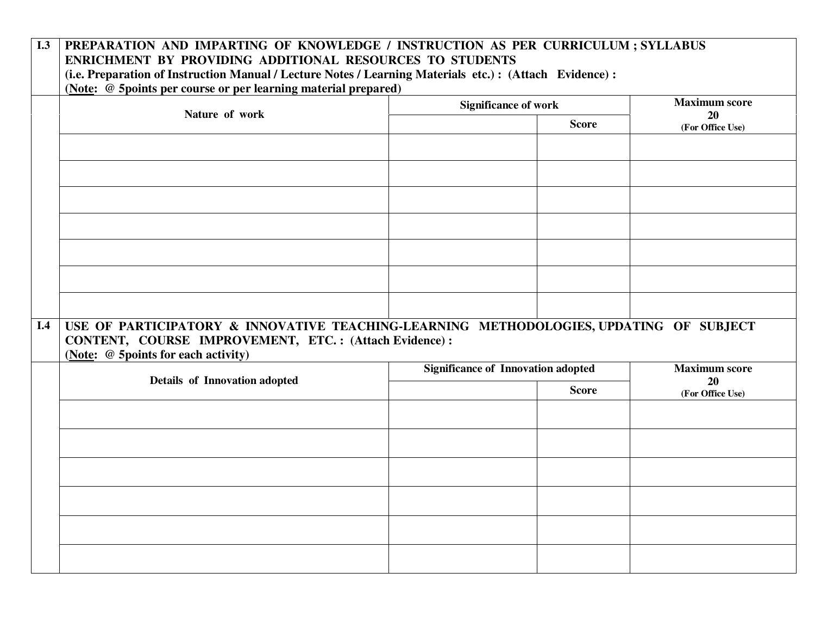# **I.3 PREPARATION AND IMPARTING OF KNOWLEDGE / INSTRUCTION AS PER CURRICULUM ; SYLLABUS ENRICHMENT BY PROVIDING ADDITIONAL RESOURCES TO STUDENTS**

**(i.e. Preparation of Instruction Manual / Lecture Notes / Learning Materials etc.) : (Attach Evidence) :** 

**(Note: @ 5points per course or per learning material prepared)** 

|     |                                                                                                                                                                                        | <b>Significance of work</b>               |                      | <b>Maximum score</b>   |
|-----|----------------------------------------------------------------------------------------------------------------------------------------------------------------------------------------|-------------------------------------------|----------------------|------------------------|
|     | Nature of work                                                                                                                                                                         |                                           | <b>Score</b>         | 20                     |
|     |                                                                                                                                                                                        |                                           |                      | (For Office Use)       |
|     |                                                                                                                                                                                        |                                           |                      |                        |
|     |                                                                                                                                                                                        |                                           |                      |                        |
|     |                                                                                                                                                                                        |                                           |                      |                        |
|     |                                                                                                                                                                                        |                                           |                      |                        |
|     |                                                                                                                                                                                        |                                           |                      |                        |
|     |                                                                                                                                                                                        |                                           |                      |                        |
|     |                                                                                                                                                                                        |                                           |                      |                        |
| I.4 | USE OF PARTICIPATORY & INNOVATIVE TEACHING-LEARNING METHODOLOGIES, UPDATING OF SUBJECT<br>CONTENT, COURSE IMPROVEMENT, ETC.: (Attach Evidence):<br>(Note: @ 5points for each activity) |                                           |                      |                        |
|     | Details of Innovation adopted                                                                                                                                                          | <b>Significance of Innovation adopted</b> | <b>Maximum score</b> |                        |
|     |                                                                                                                                                                                        |                                           | <b>Score</b>         | 20<br>(For Office Use) |
|     |                                                                                                                                                                                        |                                           |                      |                        |
|     |                                                                                                                                                                                        |                                           |                      |                        |
|     |                                                                                                                                                                                        |                                           |                      |                        |
|     |                                                                                                                                                                                        |                                           |                      |                        |
|     |                                                                                                                                                                                        |                                           |                      |                        |
|     |                                                                                                                                                                                        |                                           |                      |                        |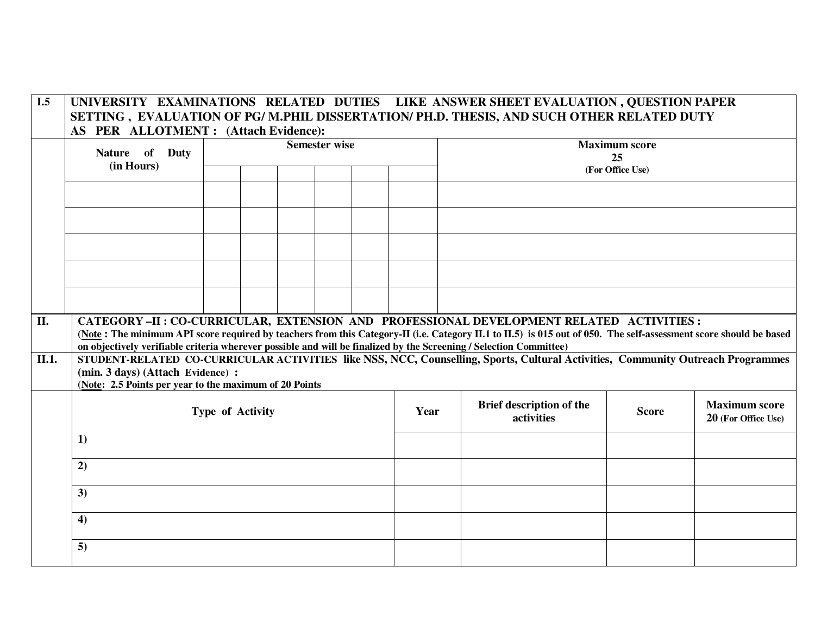#### **I.5 UNIVERSITY EXAMINATIONS RELATED DUTIES LIKE ANSWER SHEET EVALUATION , QUESTION PAPER SETTING , EVALUATION OF PG/ M.PHIL DISSERTATION/ PH.D. THESIS, AND SUCH OTHER RELATED DUTY AS PER ALLOTMENT : (Attach Evidence):**

|                            | Nature of Duty<br>(in Hours)                                                                                       | <b>Semester wise</b> |  |  |  |  |      | <b>Maximum score</b><br>25<br>(For Office Use) |                                                                                                                                                                                                                                                             |              |                                             |
|----------------------------|--------------------------------------------------------------------------------------------------------------------|----------------------|--|--|--|--|------|------------------------------------------------|-------------------------------------------------------------------------------------------------------------------------------------------------------------------------------------------------------------------------------------------------------------|--------------|---------------------------------------------|
|                            |                                                                                                                    |                      |  |  |  |  |      |                                                |                                                                                                                                                                                                                                                             |              |                                             |
|                            |                                                                                                                    |                      |  |  |  |  |      |                                                |                                                                                                                                                                                                                                                             |              |                                             |
|                            |                                                                                                                    |                      |  |  |  |  |      |                                                |                                                                                                                                                                                                                                                             |              |                                             |
|                            |                                                                                                                    |                      |  |  |  |  |      |                                                |                                                                                                                                                                                                                                                             |              |                                             |
|                            |                                                                                                                    |                      |  |  |  |  |      |                                                |                                                                                                                                                                                                                                                             |              |                                             |
|                            |                                                                                                                    |                      |  |  |  |  |      |                                                |                                                                                                                                                                                                                                                             |              |                                             |
| $\overline{\mathbf{II}}$ . | on objectively verifiable criteria wherever possible and will be finalized by the Screening / Selection Committee) |                      |  |  |  |  |      |                                                | CATEGORY-II: CO-CURRICULAR, EXTENSION AND PROFESSIONAL DEVELOPMENT RELATED ACTIVITIES:<br>(Note: The minimum API score required by teachers from this Category-II (i.e. Category II.1 to II.5) is 015 out of 050. The self-assessment score should be based |              |                                             |
| $\overline{II.1}$ .        | (min. 3 days) (Attach Evidence) :<br>(Note: 2.5 Points per year to the maximum of 20 Points                        |                      |  |  |  |  |      |                                                | STUDENT-RELATED CO-CURRICULAR ACTIVITIES like NSS, NCC, Counselling, Sports, Cultural Activities, Community Outreach Programmes                                                                                                                             |              |                                             |
|                            |                                                                                                                    | Type of Activity     |  |  |  |  | Year |                                                | Brief description of the<br>activities                                                                                                                                                                                                                      | <b>Score</b> | <b>Maximum</b> score<br>20 (For Office Use) |
|                            | 1)                                                                                                                 |                      |  |  |  |  |      |                                                |                                                                                                                                                                                                                                                             |              |                                             |
|                            | 2)                                                                                                                 |                      |  |  |  |  |      |                                                |                                                                                                                                                                                                                                                             |              |                                             |
|                            | 3)                                                                                                                 |                      |  |  |  |  |      |                                                |                                                                                                                                                                                                                                                             |              |                                             |
|                            | 4)                                                                                                                 |                      |  |  |  |  |      |                                                |                                                                                                                                                                                                                                                             |              |                                             |
|                            | 5)                                                                                                                 |                      |  |  |  |  |      |                                                |                                                                                                                                                                                                                                                             |              |                                             |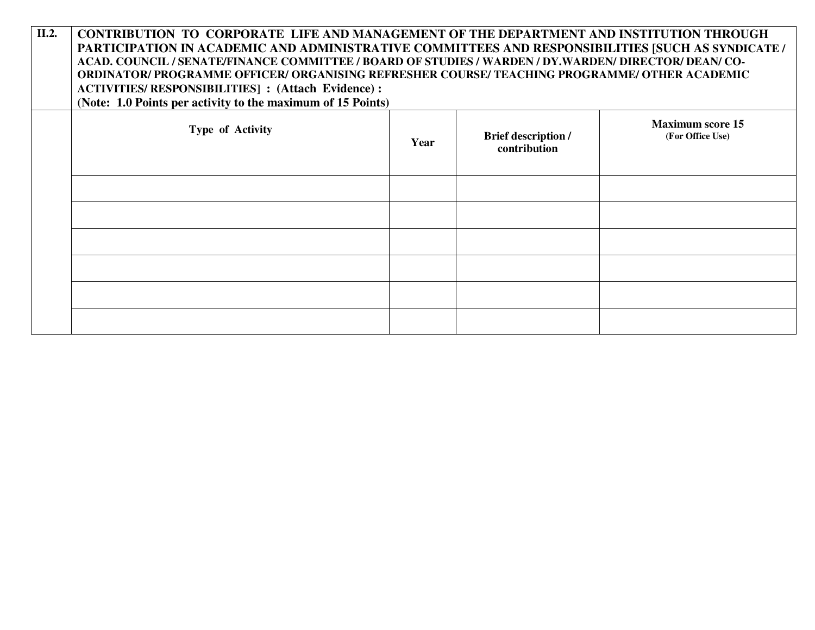|       | $\mathbf{M}$ . $\mathbf{H}$                                                                           |
|-------|-------------------------------------------------------------------------------------------------------|
|       | (Note: 1.0 Points per activity to the maximum of 15 Points)                                           |
|       | <b>ACTIVITIES/RESPONSIBILITIES]:</b> (Attach Evidence):                                               |
|       | 'ORDINATOR/ PROGRAMME OFFICER/ ORGANISING REFRESHER COURSE/ TEACHING PROGRAMME/ OTHER ACADEMIC        |
|       | ACAD. COUNCIL / SENATE/FINANCE COMMITTEE / BOARD OF STUDIES / WARDEN / DY.WARDEN/ DIRECTOR/ DEAN/ CO- |
|       | PARTICIPATION IN ACADEMIC AND ADMINISTRATIVE COMMITTEES AND RESPONSIBILITIES [SUCH AS SYNDICATE /     |
| II.2. | CONTRIBUTION TO CORPORATE LIFE AND MANAGEMENT OF THE DEPARTMENT AND INSTITUTION THROUGH               |

| Type of Activity | Year | Brief description /<br>contribution | <b>Maximum score 15</b><br>(For Office Use) |
|------------------|------|-------------------------------------|---------------------------------------------|
|                  |      |                                     |                                             |
|                  |      |                                     |                                             |
|                  |      |                                     |                                             |
|                  |      |                                     |                                             |
|                  |      |                                     |                                             |
|                  |      |                                     |                                             |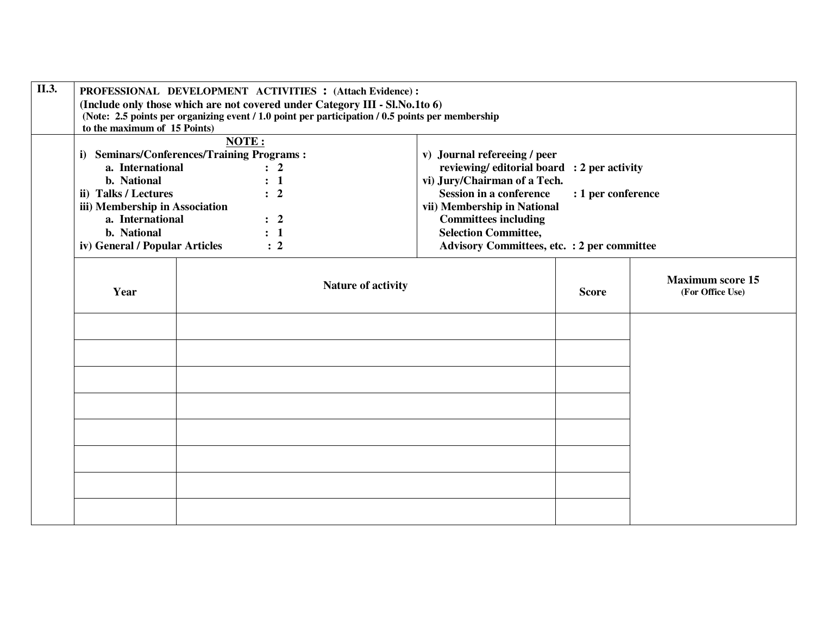| II.3. | PROFESSIONAL DEVELOPMENT ACTIVITIES : (Attach Evidence) :       |                                                |                                                                                                  |                                                    |                    |                                             |  |
|-------|-----------------------------------------------------------------|------------------------------------------------|--------------------------------------------------------------------------------------------------|----------------------------------------------------|--------------------|---------------------------------------------|--|
|       |                                                                 |                                                | (Include only those which are not covered under Category III - Sl.No.1to 6)                      |                                                    |                    |                                             |  |
|       |                                                                 |                                                | (Note: 2.5 points per organizing event / 1.0 point per participation / 0.5 points per membership |                                                    |                    |                                             |  |
|       | to the maximum of 15 Points)                                    |                                                |                                                                                                  |                                                    |                    |                                             |  |
|       |                                                                 | NOTE:                                          |                                                                                                  |                                                    |                    |                                             |  |
|       | i)                                                              | <b>Seminars/Conferences/Training Programs:</b> |                                                                                                  | v) Journal refereeing / peer                       |                    |                                             |  |
|       | a. International<br>$\therefore$ 2<br>b. National<br>$\colon$ 1 |                                                |                                                                                                  | reviewing/editorial board : 2 per activity         |                    |                                             |  |
|       |                                                                 |                                                |                                                                                                  | vi) Jury/Chairman of a Tech.                       |                    |                                             |  |
|       | ii) Talks / Lectures<br>$\therefore$ 2                          |                                                |                                                                                                  | <b>Session in a conference</b>                     | : 1 per conference |                                             |  |
|       | iii) Membership in Association                                  |                                                |                                                                                                  | vii) Membership in National                        |                    |                                             |  |
|       | a. International<br>$\therefore$ 2<br>b. National<br>$\colon 1$ |                                                |                                                                                                  | <b>Committees including</b>                        |                    |                                             |  |
|       |                                                                 |                                                |                                                                                                  | <b>Selection Committee,</b>                        |                    |                                             |  |
|       | iv) General / Popular Articles                                  |                                                | $\therefore$ 2                                                                                   | <b>Advisory Committees, etc. : 2 per committee</b> |                    |                                             |  |
|       | Year                                                            |                                                | Nature of activity                                                                               | <b>Score</b>                                       |                    | <b>Maximum score 15</b><br>(For Office Use) |  |
|       |                                                                 |                                                |                                                                                                  |                                                    |                    |                                             |  |
|       |                                                                 |                                                |                                                                                                  |                                                    |                    |                                             |  |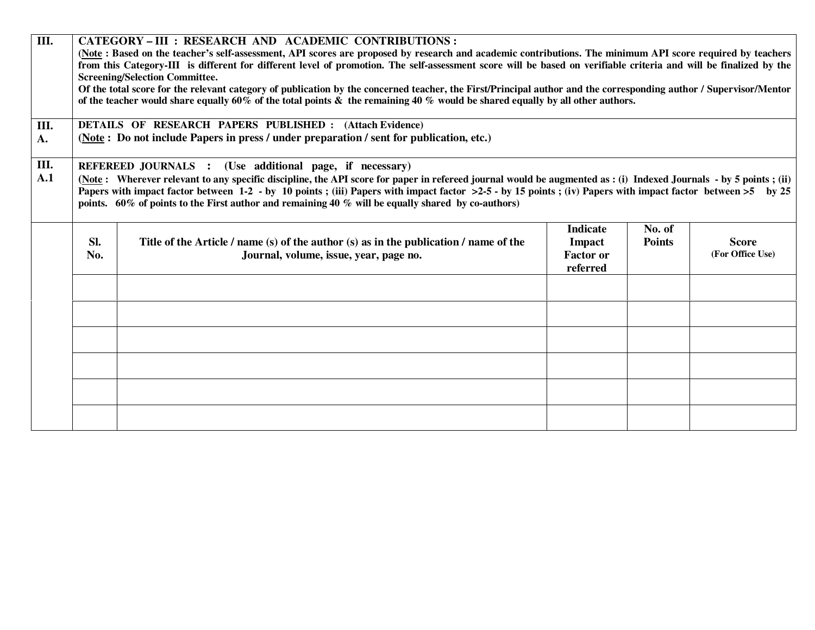| $\overline{III}$ .<br>III.<br>A. | CATEGORY-III : RESEARCH AND ACADEMIC CONTRIBUTIONS :<br>(Note: Based on the teacher's self-assessment, API scores are proposed by research and academic contributions. The minimum API score required by teachers<br>from this Category-III is different for different level of promotion. The self-assessment score will be based on verifiable criteria and will be finalized by the<br><b>Screening/Selection Committee.</b><br>Of the total score for the relevant category of publication by the concerned teacher, the First/Principal author and the corresponding author / Supervisor/Mentor<br>of the teacher would share equally 60% of the total points $\&$ the remaining 40 % would be shared equally by all other authors.<br><b>DETAILS OF RESEARCH PAPERS PUBLISHED: (Attach Evidence)</b> |                                                                                                                                 |                                                           |                         |                                  |  |
|----------------------------------|------------------------------------------------------------------------------------------------------------------------------------------------------------------------------------------------------------------------------------------------------------------------------------------------------------------------------------------------------------------------------------------------------------------------------------------------------------------------------------------------------------------------------------------------------------------------------------------------------------------------------------------------------------------------------------------------------------------------------------------------------------------------------------------------------------|---------------------------------------------------------------------------------------------------------------------------------|-----------------------------------------------------------|-------------------------|----------------------------------|--|
|                                  |                                                                                                                                                                                                                                                                                                                                                                                                                                                                                                                                                                                                                                                                                                                                                                                                            | (Note: Do not include Papers in press / under preparation / sent for publication, etc.)                                         |                                                           |                         |                                  |  |
| III.<br>A.1                      | REFEREED JOURNALS : (Use additional page, if necessary)<br>(Note: Wherever relevant to any specific discipline, the API score for paper in refereed journal would be augmented as: (i) Indexed Journals - by 5 points; (ii)<br>Papers with impact factor between $1-2$ - by 10 points; (iii) Papers with impact factor $>2-5$ - by 15 points; (iv) Papers with impact factor between $>5$ by 25<br>points. $60\%$ of points to the First author and remaining 40 % will be equally shared by co-authors)                                                                                                                                                                                                                                                                                                   |                                                                                                                                 |                                                           |                         |                                  |  |
|                                  | Sl.<br>No.                                                                                                                                                                                                                                                                                                                                                                                                                                                                                                                                                                                                                                                                                                                                                                                                 | Title of the Article / name (s) of the author (s) as in the publication / name of the<br>Journal, volume, issue, year, page no. | <b>Indicate</b><br>Impact<br><b>Factor or</b><br>referred | No. of<br><b>Points</b> | <b>Score</b><br>(For Office Use) |  |
|                                  |                                                                                                                                                                                                                                                                                                                                                                                                                                                                                                                                                                                                                                                                                                                                                                                                            |                                                                                                                                 |                                                           |                         |                                  |  |
|                                  |                                                                                                                                                                                                                                                                                                                                                                                                                                                                                                                                                                                                                                                                                                                                                                                                            |                                                                                                                                 |                                                           |                         |                                  |  |
|                                  |                                                                                                                                                                                                                                                                                                                                                                                                                                                                                                                                                                                                                                                                                                                                                                                                            |                                                                                                                                 |                                                           |                         |                                  |  |
|                                  |                                                                                                                                                                                                                                                                                                                                                                                                                                                                                                                                                                                                                                                                                                                                                                                                            |                                                                                                                                 |                                                           |                         |                                  |  |
|                                  |                                                                                                                                                                                                                                                                                                                                                                                                                                                                                                                                                                                                                                                                                                                                                                                                            |                                                                                                                                 |                                                           |                         |                                  |  |
|                                  |                                                                                                                                                                                                                                                                                                                                                                                                                                                                                                                                                                                                                                                                                                                                                                                                            |                                                                                                                                 |                                                           |                         |                                  |  |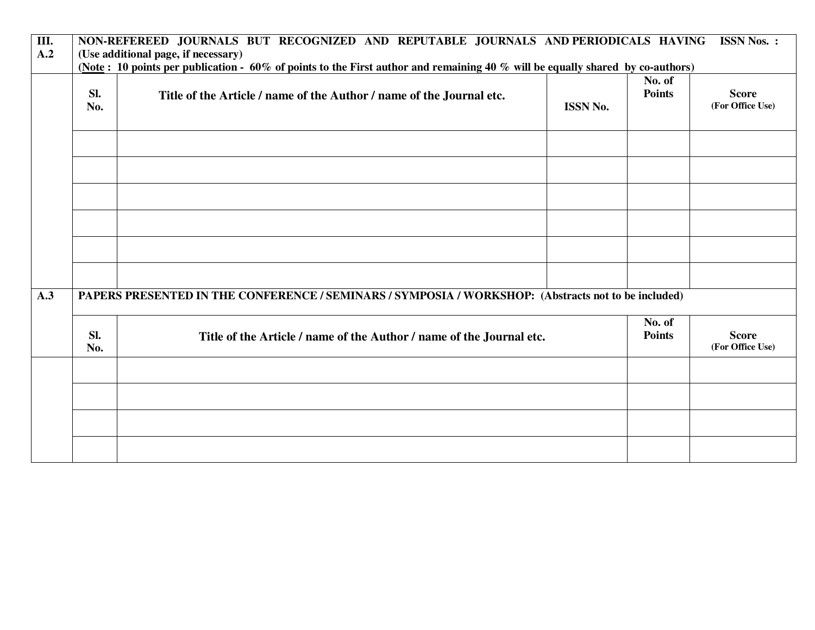| Ш.  | NON-REFEREED JOURNALS BUT RECOGNIZED AND REPUTABLE JOURNALS AND PERIODICALS HAVING<br><b>ISSN Nos.:</b>                                                             |                                                                      |                 |                         |                  |  |  |
|-----|---------------------------------------------------------------------------------------------------------------------------------------------------------------------|----------------------------------------------------------------------|-----------------|-------------------------|------------------|--|--|
| A.2 | (Use additional page, if necessary)<br>(Note: 10 points per publication - 60% of points to the First author and remaining 40% will be equally shared by co-authors) |                                                                      |                 |                         |                  |  |  |
|     | Sl.                                                                                                                                                                 |                                                                      |                 | No. of<br><b>Points</b> | <b>Score</b>     |  |  |
|     | No.                                                                                                                                                                 | Title of the Article / name of the Author / name of the Journal etc. | <b>ISSN No.</b> |                         | (For Office Use) |  |  |
|     |                                                                                                                                                                     |                                                                      |                 |                         |                  |  |  |
|     |                                                                                                                                                                     |                                                                      |                 |                         |                  |  |  |
|     |                                                                                                                                                                     |                                                                      |                 |                         |                  |  |  |
|     |                                                                                                                                                                     |                                                                      |                 |                         |                  |  |  |
| A.3 | PAPERS PRESENTED IN THE CONFERENCE / SEMINARS / SYMPOSIA / WORKSHOP: (Abstracts not to be included)                                                                 |                                                                      |                 |                         |                  |  |  |
|     | Sl.                                                                                                                                                                 | Title of the Article / name of the Author / name of the Journal etc. |                 |                         | <b>Score</b>     |  |  |
|     | No.                                                                                                                                                                 |                                                                      |                 |                         | (For Office Use) |  |  |
|     |                                                                                                                                                                     |                                                                      |                 |                         |                  |  |  |
|     |                                                                                                                                                                     |                                                                      |                 |                         |                  |  |  |
|     |                                                                                                                                                                     |                                                                      |                 |                         |                  |  |  |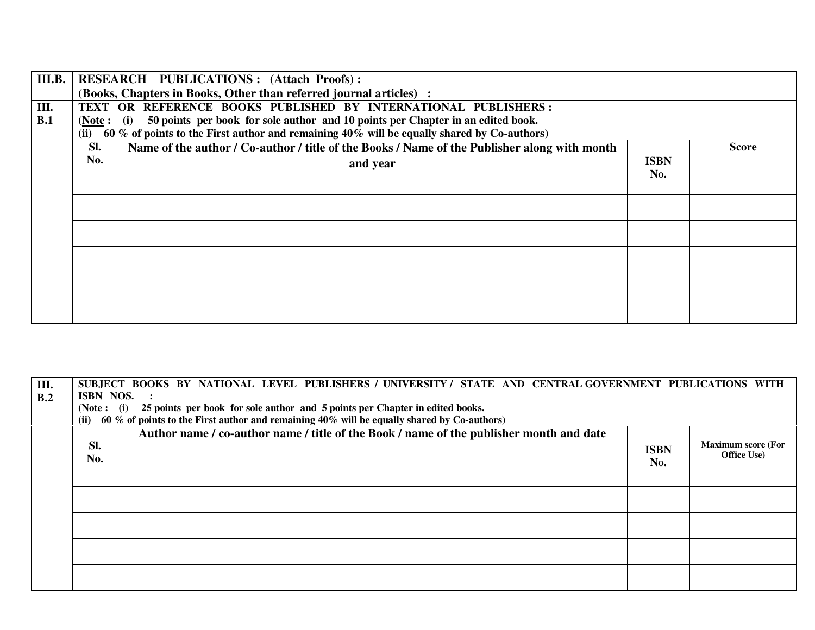| III.B. | <b>RESEARCH PUBLICATIONS: (Attach Proofs):</b> |                                                                                              |             |       |  |
|--------|------------------------------------------------|----------------------------------------------------------------------------------------------|-------------|-------|--|
|        |                                                | (Books, Chapters in Books, Other than referred journal articles) :                           |             |       |  |
| Ш.     |                                                | TEXT OR REFERENCE BOOKS PUBLISHED BY INTERNATIONAL PUBLISHERS:                               |             |       |  |
| B.1    | (Note: (i)                                     | 50 points per book for sole author and 10 points per Chapter in an edited book.              |             |       |  |
|        | (ii)                                           | 60 % of points to the First author and remaining 40% will be equally shared by Co-authors)   |             |       |  |
|        | Sl.                                            | Name of the author / Co-author / title of the Books / Name of the Publisher along with month |             | Score |  |
|        | No.                                            | and year                                                                                     | <b>ISBN</b> |       |  |
|        |                                                |                                                                                              | No.         |       |  |
|        |                                                |                                                                                              |             |       |  |
|        |                                                |                                                                                              |             |       |  |
|        |                                                |                                                                                              |             |       |  |
|        |                                                |                                                                                              |             |       |  |
|        |                                                |                                                                                              |             |       |  |
|        |                                                |                                                                                              |             |       |  |
|        |                                                |                                                                                              |             |       |  |
|        |                                                |                                                                                              |             |       |  |
|        |                                                |                                                                                              |             |       |  |
|        |                                                |                                                                                              |             |       |  |
|        |                                                |                                                                                              |             |       |  |

| III. | SUBJECT BOOKS BY NATIONAL LEVEL PUBLISHERS / UNIVERSITY / STATE AND CENTRAL GOVERNMENT PUBLICATIONS WITH |                                                                                            |             |                           |  |  |
|------|----------------------------------------------------------------------------------------------------------|--------------------------------------------------------------------------------------------|-------------|---------------------------|--|--|
| B.2  | ISBN NOS.                                                                                                |                                                                                            |             |                           |  |  |
|      | (Note: (i)                                                                                               | 25 points per book for sole author and 5 points per Chapter in edited books.               |             |                           |  |  |
|      |                                                                                                          | 60 % of points to the First author and remaining 40% will be equally shared by Co-authors) |             |                           |  |  |
|      |                                                                                                          | Author name / co-author name / title of the Book / name of the publisher month and date    |             |                           |  |  |
|      | SI.                                                                                                      |                                                                                            | <b>ISBN</b> | <b>Maximum score (For</b> |  |  |
|      | No.                                                                                                      |                                                                                            | No.         | <b>Office Use</b> )       |  |  |
|      |                                                                                                          |                                                                                            |             |                           |  |  |
|      |                                                                                                          |                                                                                            |             |                           |  |  |
|      |                                                                                                          |                                                                                            |             |                           |  |  |
|      |                                                                                                          |                                                                                            |             |                           |  |  |
|      |                                                                                                          |                                                                                            |             |                           |  |  |
|      |                                                                                                          |                                                                                            |             |                           |  |  |
|      |                                                                                                          |                                                                                            |             |                           |  |  |
|      |                                                                                                          |                                                                                            |             |                           |  |  |
|      |                                                                                                          |                                                                                            |             |                           |  |  |
|      |                                                                                                          |                                                                                            |             |                           |  |  |
|      |                                                                                                          |                                                                                            |             |                           |  |  |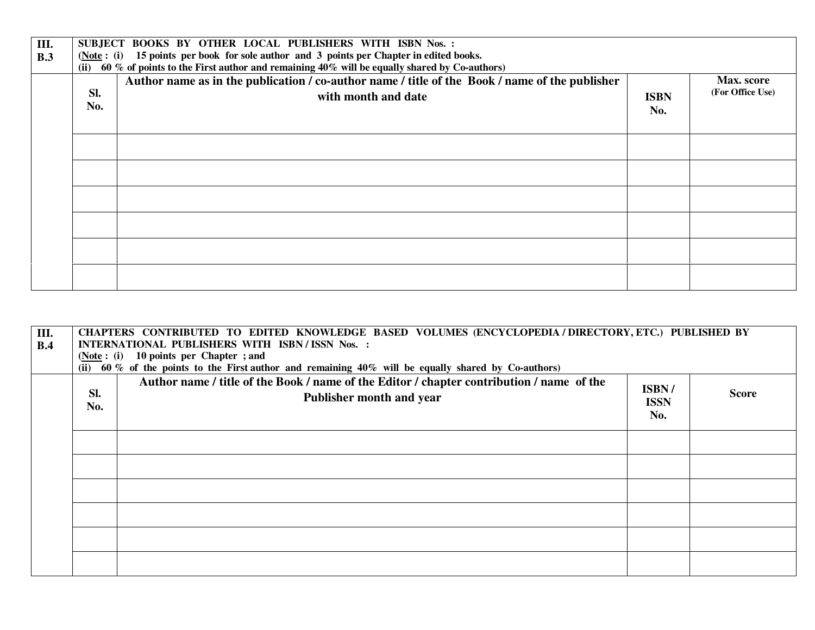| Ш.<br>B.3 | SUBJECT BOOKS BY OTHER LOCAL PUBLISHERS WITH ISBN Nos. :<br>15 points per book for sole author and 3 points per Chapter in edited books.<br>( <b>Note</b> : ( <b>i</b> )<br>(ii) 60 % of points to the First author and remaining $40\%$ will be equally shared by Co-authors) |                                                                                                                       |                    |                                |  |  |
|-----------|--------------------------------------------------------------------------------------------------------------------------------------------------------------------------------------------------------------------------------------------------------------------------------|-----------------------------------------------------------------------------------------------------------------------|--------------------|--------------------------------|--|--|
|           | Sl.<br>No.                                                                                                                                                                                                                                                                     | Author name as in the publication / co-author name / title of the Book / name of the publisher<br>with month and date | <b>ISBN</b><br>No. | Max. score<br>(For Office Use) |  |  |
|           |                                                                                                                                                                                                                                                                                |                                                                                                                       |                    |                                |  |  |
|           |                                                                                                                                                                                                                                                                                |                                                                                                                       |                    |                                |  |  |
|           |                                                                                                                                                                                                                                                                                |                                                                                                                       |                    |                                |  |  |
|           |                                                                                                                                                                                                                                                                                |                                                                                                                       |                    |                                |  |  |
|           |                                                                                                                                                                                                                                                                                |                                                                                                                       |                    |                                |  |  |
|           |                                                                                                                                                                                                                                                                                |                                                                                                                       |                    |                                |  |  |

| III.<br>B.4 | CHAPTERS CONTRIBUTED TO EDITED KNOWLEDGE BASED VOLUMES (ENCYCLOPEDIA / DIRECTORY, ETC.) PUBLISHED BY<br>INTERNATIONAL PUBLISHERS WITH ISBN/ISSN Nos. :<br>$(Note: (i) 10 points per Chapter ; and$<br>(ii) 60 % of the points to the First author and remaining $40\%$ will be equally shared by Co-authors) |                                                                                                                       |                             |              |  |
|-------------|--------------------------------------------------------------------------------------------------------------------------------------------------------------------------------------------------------------------------------------------------------------------------------------------------------------|-----------------------------------------------------------------------------------------------------------------------|-----------------------------|--------------|--|
|             | SI.<br>No.                                                                                                                                                                                                                                                                                                   | Author name / title of the Book / name of the Editor / chapter contribution / name of the<br>Publisher month and year | ISBN/<br><b>ISSN</b><br>No. | <b>Score</b> |  |
|             |                                                                                                                                                                                                                                                                                                              |                                                                                                                       |                             |              |  |
|             |                                                                                                                                                                                                                                                                                                              |                                                                                                                       |                             |              |  |
|             |                                                                                                                                                                                                                                                                                                              |                                                                                                                       |                             |              |  |
|             |                                                                                                                                                                                                                                                                                                              |                                                                                                                       |                             |              |  |
|             |                                                                                                                                                                                                                                                                                                              |                                                                                                                       |                             |              |  |
|             |                                                                                                                                                                                                                                                                                                              |                                                                                                                       |                             |              |  |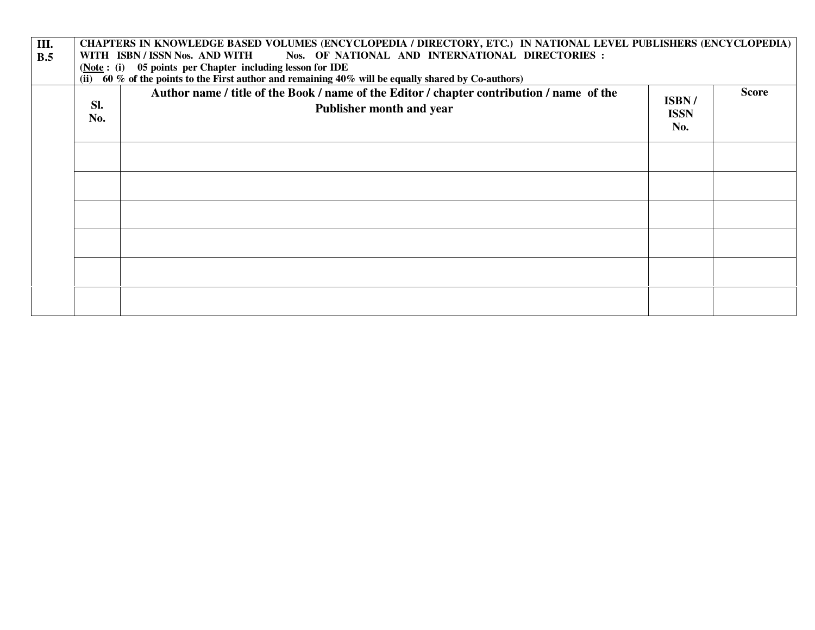| $\overline{\mathbf{III}}$ .<br>B.5 | CHAPTERS IN KNOWLEDGE BASED VOLUMES (ENCYCLOPEDIA / DIRECTORY, ETC.) IN NATIONAL LEVEL PUBLISHERS (ENCYCLOPEDIA)<br>Nos. OF NATIONAL AND INTERNATIONAL DIRECTORIES :<br>WITH ISBN / ISSN Nos. AND WITH<br>(Note: (i) 05 points per Chapter including lesson for IDE<br>(ii) 60 % of the points to the First author and remaining $40\%$ will be equally shared by Co-authors) |                                                                                                                       |                             |              |  |
|------------------------------------|-------------------------------------------------------------------------------------------------------------------------------------------------------------------------------------------------------------------------------------------------------------------------------------------------------------------------------------------------------------------------------|-----------------------------------------------------------------------------------------------------------------------|-----------------------------|--------------|--|
|                                    | Sl.<br>No.                                                                                                                                                                                                                                                                                                                                                                    | Author name / title of the Book / name of the Editor / chapter contribution / name of the<br>Publisher month and year | ISBN/<br><b>ISSN</b><br>No. | <b>Score</b> |  |
|                                    |                                                                                                                                                                                                                                                                                                                                                                               |                                                                                                                       |                             |              |  |
|                                    |                                                                                                                                                                                                                                                                                                                                                                               |                                                                                                                       |                             |              |  |
|                                    |                                                                                                                                                                                                                                                                                                                                                                               |                                                                                                                       |                             |              |  |
|                                    |                                                                                                                                                                                                                                                                                                                                                                               |                                                                                                                       |                             |              |  |
|                                    |                                                                                                                                                                                                                                                                                                                                                                               |                                                                                                                       |                             |              |  |
|                                    |                                                                                                                                                                                                                                                                                                                                                                               |                                                                                                                       |                             |              |  |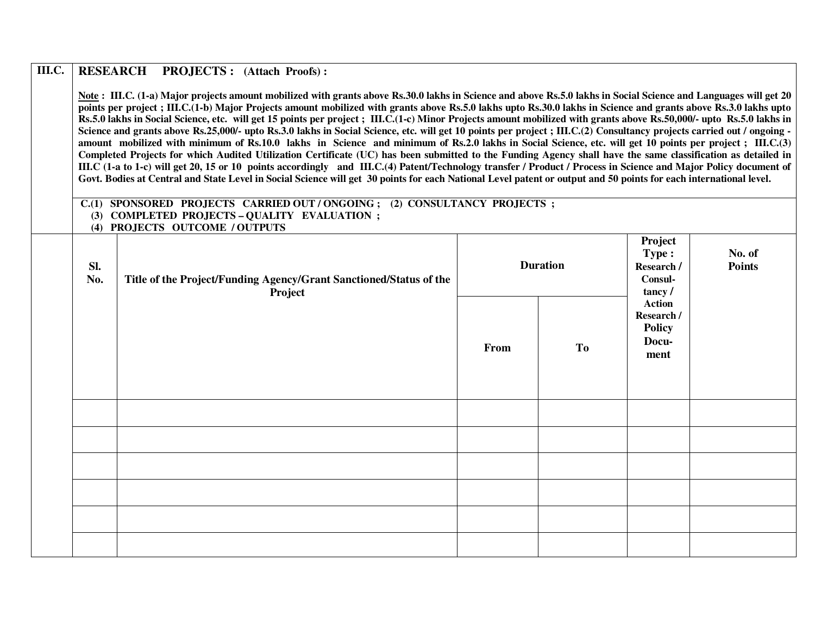#### **RESEARCH PROJECTS : (Attach Proofs) : III.C.**

Note: III.C. (1-a) Major projects amount mobilized with grants above Rs.30.0 lakhs in Science and above Rs.5.0 lakhs in Social Science and Languages will get 20 **points per project ; III.C.(1-b) Major Projects amount mobilized with grants above Rs.5.0 lakhs upto Rs.30.0 lakhs in Science and grants above Rs.3.0 lakhs upto Rs.5.0 lakhs in Social Science, etc. will get 15 points per project ; III.C.(1-c) Minor Projects amount mobilized with grants above Rs.50,000/- upto Rs.5.0 lakhs in** Science and grants above Rs.25,000/- upto Rs.3.0 lakhs in Social Science, etc. will get 10 points per project ; III.C.(2) Consultancy projects carried out / ongoing **amount mobilized with minimum of Rs.10.0 lakhs in Science and minimum of Rs.2.0 lakhs in Social Science, etc. will get 10 points per project ; III.C.(3) Completed Projects for which Audited Utilization Certificate (UC) has been submitted to the Funding Agency shall have the same classification as detailed in III.C (1-a to 1-c) will get 20, 15 or 10 points accordingly and III.C.(4) Patent/Technology transfer / Product / Process in Science and Major Policy document of** Govt. Bodies at Central and State Level in Social Science will get 30 points for each National Level patent or output and 50 points for each international level.

#### **C.(1) SPONSORED PROJECTS CARRIED OUT / ONGOING ; (2) CONSULTANCY PROJECTS ; (3) COMPLETED PROJECTS – QUALITY EVALUATION ;**

 **(4) PROJECTS OUTCOME / OUTPUTS** 

| Sl.<br>No. | $( \cdot )$ incomplete correction $( \cdot )$<br>Title of the Project/Funding Agency/Grant Sanctioned/Status of the<br>Project | <b>Duration</b> |           | Project<br>Type:<br>Research /<br>Consul-<br>tancy/           | No. of<br>Points |
|------------|--------------------------------------------------------------------------------------------------------------------------------|-----------------|-----------|---------------------------------------------------------------|------------------|
|            |                                                                                                                                | From            | <b>To</b> | <b>Action</b><br>Research /<br><b>Policy</b><br>Docu-<br>ment |                  |
|            |                                                                                                                                |                 |           |                                                               |                  |
|            |                                                                                                                                |                 |           |                                                               |                  |
|            |                                                                                                                                |                 |           |                                                               |                  |
|            |                                                                                                                                |                 |           |                                                               |                  |
|            |                                                                                                                                |                 |           |                                                               |                  |
|            |                                                                                                                                |                 |           |                                                               |                  |
|            |                                                                                                                                |                 |           |                                                               |                  |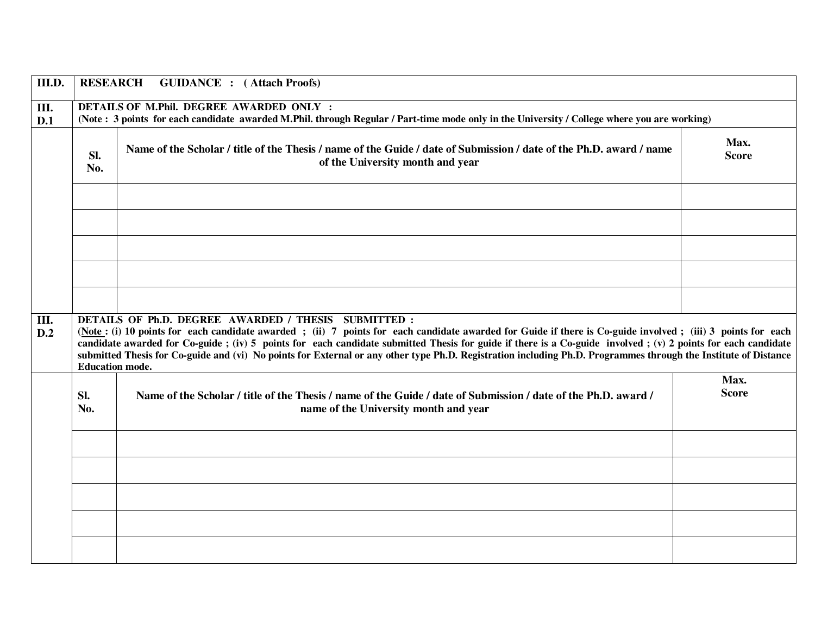| III.D.    | <b>RESEARCH</b><br><b>GUIDANCE</b> : (Attach Proofs)                                                                                                                                                                                                                                                                                                                                                                                                                                                                                                                            |                                                                                                                                                         |                      |  |  |  |
|-----------|---------------------------------------------------------------------------------------------------------------------------------------------------------------------------------------------------------------------------------------------------------------------------------------------------------------------------------------------------------------------------------------------------------------------------------------------------------------------------------------------------------------------------------------------------------------------------------|---------------------------------------------------------------------------------------------------------------------------------------------------------|----------------------|--|--|--|
| Ш.<br>D.1 | <b>DETAILS OF M.Phil. DEGREE AWARDED ONLY:</b><br>(Note: 3 points for each candidate awarded M.Phil. through Regular / Part-time mode only in the University / College where you are working)                                                                                                                                                                                                                                                                                                                                                                                   |                                                                                                                                                         |                      |  |  |  |
|           | Sl.<br>No.                                                                                                                                                                                                                                                                                                                                                                                                                                                                                                                                                                      | Name of the Scholar / title of the Thesis / name of the Guide / date of Submission / date of the Ph.D. award / name<br>of the University month and year | Max.<br><b>Score</b> |  |  |  |
|           |                                                                                                                                                                                                                                                                                                                                                                                                                                                                                                                                                                                 |                                                                                                                                                         |                      |  |  |  |
|           |                                                                                                                                                                                                                                                                                                                                                                                                                                                                                                                                                                                 |                                                                                                                                                         |                      |  |  |  |
|           |                                                                                                                                                                                                                                                                                                                                                                                                                                                                                                                                                                                 |                                                                                                                                                         |                      |  |  |  |
|           |                                                                                                                                                                                                                                                                                                                                                                                                                                                                                                                                                                                 |                                                                                                                                                         |                      |  |  |  |
| Ш.<br>D.2 | DETAILS OF Ph.D. DEGREE AWARDED / THESIS SUBMITTED :<br>(Note: (i) 10 points for each candidate awarded; (ii) 7 points for each candidate awarded for Guide if there is Co-guide involved; (iii) 3 points for each<br>candidate awarded for Co-guide; (iv) 5 points for each candidate submitted Thesis for guide if there is a Co-guide involved; (v) 2 points for each candidate<br>submitted Thesis for Co-guide and (vi) No points for External or any other type Ph.D. Registration including Ph.D. Programmes through the Institute of Distance<br><b>Education mode.</b> |                                                                                                                                                         |                      |  |  |  |
|           | Sl.<br>No.                                                                                                                                                                                                                                                                                                                                                                                                                                                                                                                                                                      | Name of the Scholar / title of the Thesis / name of the Guide / date of Submission / date of the Ph.D. award /<br>name of the University month and year | Max.<br><b>Score</b> |  |  |  |
|           |                                                                                                                                                                                                                                                                                                                                                                                                                                                                                                                                                                                 |                                                                                                                                                         |                      |  |  |  |
|           |                                                                                                                                                                                                                                                                                                                                                                                                                                                                                                                                                                                 |                                                                                                                                                         |                      |  |  |  |
|           |                                                                                                                                                                                                                                                                                                                                                                                                                                                                                                                                                                                 |                                                                                                                                                         |                      |  |  |  |
|           |                                                                                                                                                                                                                                                                                                                                                                                                                                                                                                                                                                                 |                                                                                                                                                         |                      |  |  |  |
|           |                                                                                                                                                                                                                                                                                                                                                                                                                                                                                                                                                                                 |                                                                                                                                                         |                      |  |  |  |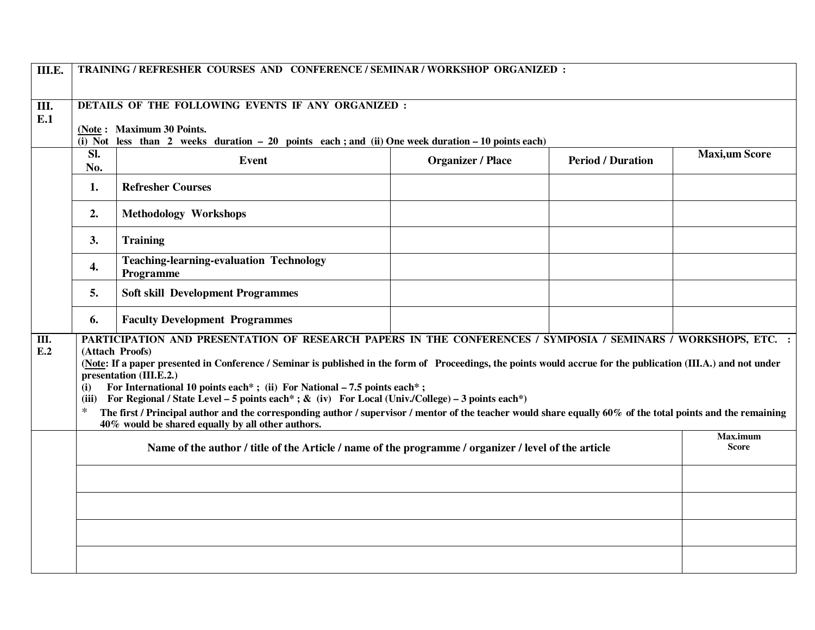| III.E.    | TRAINING / REFRESHER COURSES AND CONFERENCE / SEMINAR / WORKSHOP ORGANIZED:                                                                                                                                                                                                                                                                                                                                                                                                                                                                                                                                                                                                                                                                                    |                                                                                                                                  |                          |                          |                      |  |
|-----------|----------------------------------------------------------------------------------------------------------------------------------------------------------------------------------------------------------------------------------------------------------------------------------------------------------------------------------------------------------------------------------------------------------------------------------------------------------------------------------------------------------------------------------------------------------------------------------------------------------------------------------------------------------------------------------------------------------------------------------------------------------------|----------------------------------------------------------------------------------------------------------------------------------|--------------------------|--------------------------|----------------------|--|
|           | DETAILS OF THE FOLLOWING EVENTS IF ANY ORGANIZED :                                                                                                                                                                                                                                                                                                                                                                                                                                                                                                                                                                                                                                                                                                             |                                                                                                                                  |                          |                          |                      |  |
| Ш.<br>E.1 |                                                                                                                                                                                                                                                                                                                                                                                                                                                                                                                                                                                                                                                                                                                                                                |                                                                                                                                  |                          |                          |                      |  |
|           |                                                                                                                                                                                                                                                                                                                                                                                                                                                                                                                                                                                                                                                                                                                                                                | (Note: Maximum 30 Points.<br>(i) Not less than 2 weeks duration $-20$ points each; and (ii) One week duration $-10$ points each) |                          |                          |                      |  |
|           | Sl.<br>No.                                                                                                                                                                                                                                                                                                                                                                                                                                                                                                                                                                                                                                                                                                                                                     | Event                                                                                                                            | <b>Organizer / Place</b> | <b>Period / Duration</b> | <b>Maxi,um Score</b> |  |
|           | 1.                                                                                                                                                                                                                                                                                                                                                                                                                                                                                                                                                                                                                                                                                                                                                             | <b>Refresher Courses</b>                                                                                                         |                          |                          |                      |  |
|           | 2.                                                                                                                                                                                                                                                                                                                                                                                                                                                                                                                                                                                                                                                                                                                                                             | <b>Methodology Workshops</b>                                                                                                     |                          |                          |                      |  |
|           | 3.                                                                                                                                                                                                                                                                                                                                                                                                                                                                                                                                                                                                                                                                                                                                                             | <b>Training</b>                                                                                                                  |                          |                          |                      |  |
|           | 4.                                                                                                                                                                                                                                                                                                                                                                                                                                                                                                                                                                                                                                                                                                                                                             | <b>Teaching-learning-evaluation Technology</b><br>Programme                                                                      |                          |                          |                      |  |
|           | 5.                                                                                                                                                                                                                                                                                                                                                                                                                                                                                                                                                                                                                                                                                                                                                             | <b>Soft skill Development Programmes</b>                                                                                         |                          |                          |                      |  |
|           | 6.                                                                                                                                                                                                                                                                                                                                                                                                                                                                                                                                                                                                                                                                                                                                                             | <b>Faculty Development Programmes</b>                                                                                            |                          |                          |                      |  |
| Ш.<br>E.2 | PARTICIPATION AND PRESENTATION OF RESEARCH PAPERS IN THE CONFERENCES / SYMPOSIA / SEMINARS / WORKSHOPS, ETC. :<br>(Attach Proofs)<br>(Note: If a paper presented in Conference / Seminar is published in the form of Proceedings, the points would accrue for the publication (III.A.) and not under<br>presentation (III.E.2.)<br>For International 10 points each*; (ii) For National $-7.5$ points each*;<br>(i)<br>For Regional / State Level – 5 points each*; & (iv) For Local (Univ./College) – 3 points each*)<br>(iii)<br>$\ast$<br>The first / Principal author and the corresponding author / supervisor / mentor of the teacher would share equally 60% of the total points and the remaining<br>40% would be shared equally by all other authors. |                                                                                                                                  |                          |                          |                      |  |
|           | Name of the author / title of the Article / name of the programme / organizer / level of the article                                                                                                                                                                                                                                                                                                                                                                                                                                                                                                                                                                                                                                                           |                                                                                                                                  |                          |                          |                      |  |
|           |                                                                                                                                                                                                                                                                                                                                                                                                                                                                                                                                                                                                                                                                                                                                                                |                                                                                                                                  |                          |                          |                      |  |
|           |                                                                                                                                                                                                                                                                                                                                                                                                                                                                                                                                                                                                                                                                                                                                                                |                                                                                                                                  |                          |                          |                      |  |
|           |                                                                                                                                                                                                                                                                                                                                                                                                                                                                                                                                                                                                                                                                                                                                                                |                                                                                                                                  |                          |                          |                      |  |
|           |                                                                                                                                                                                                                                                                                                                                                                                                                                                                                                                                                                                                                                                                                                                                                                |                                                                                                                                  |                          |                          |                      |  |